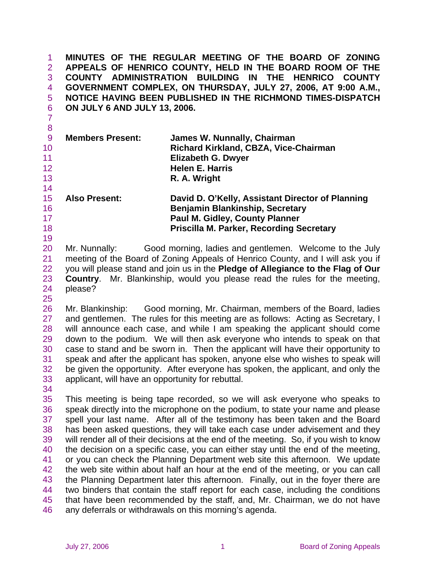**MINUTES OF THE REGULAR MEETING OF THE BOARD OF ZONING APPEALS OF HENRICO COUNTY, HELD IN THE BOARD ROOM OF THE COUNTY ADMINISTRATION BUILDING IN THE HENRICO COUNTY GOVERNMENT COMPLEX, ON THURSDAY, JULY 27, 2006, AT 9:00 A.M., NOTICE HAVING BEEN PUBLISHED IN THE RICHMOND TIMES-DISPATCH ON JULY 6 AND JULY 13, 2006.**  1 2 3 4 5 6

8 9 10 11 12 13 14 15 16 **Members Present: James W. Nunnally, Chairman Richard Kirkland, CBZA, Vice-Chairman Elizabeth G. Dwyer Helen E. Harris R. A. Wright Also Present: David D. O'Kelly, Assistant Director of Planning** 

 **Benjamin Blankinship, Secretary Paul M. Gidley, County Planner Priscilla M. Parker, Recording Secretary** 

20 21 22 23 24 Mr. Nunnally: Good morning, ladies and gentlemen. Welcome to the July meeting of the Board of Zoning Appeals of Henrico County, and I will ask you if you will please stand and join us in the **Pledge of Allegiance to the Flag of Our Country**. Mr. Blankinship, would you please read the rules for the meeting, please?

26 27 28 29 30 31 32 33 Mr. Blankinship: Good morning, Mr. Chairman, members of the Board, ladies and gentlemen. The rules for this meeting are as follows: Acting as Secretary, I will announce each case, and while I am speaking the applicant should come down to the podium. We will then ask everyone who intends to speak on that case to stand and be sworn in. Then the applicant will have their opportunity to speak and after the applicant has spoken, anyone else who wishes to speak will be given the opportunity. After everyone has spoken, the applicant, and only the applicant, will have an opportunity for rebuttal.

34

7

17 18 19

25

35 36 37 38 39 40 41 42 43 44 45 46 This meeting is being tape recorded, so we will ask everyone who speaks to speak directly into the microphone on the podium, to state your name and please spell your last name. After all of the testimony has been taken and the Board has been asked questions, they will take each case under advisement and they will render all of their decisions at the end of the meeting. So, if you wish to know the decision on a specific case, you can either stay until the end of the meeting, or you can check the Planning Department web site this afternoon. We update the web site within about half an hour at the end of the meeting, or you can call the Planning Department later this afternoon. Finally, out in the foyer there are two binders that contain the staff report for each case, including the conditions that have been recommended by the staff, and, Mr. Chairman, we do not have any deferrals or withdrawals on this morning's agenda.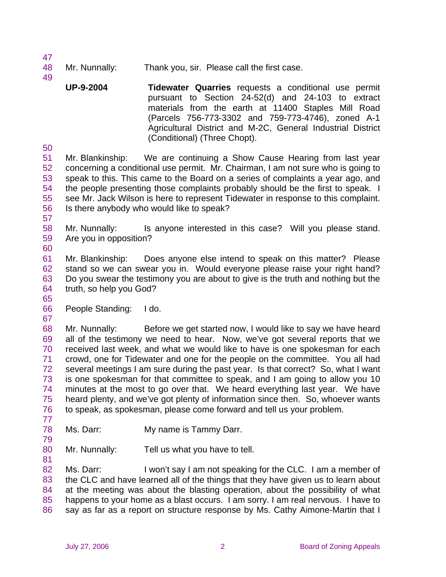- 48 Mr. Nunnally: Thank you, sir. Please call the first case.
	- **UP-9-2004 Tidewater Quarries** requests a conditional use permit pursuant to Section 24-52(d) and 24-103 to extract materials from the earth at 11400 Staples Mill Road (Parcels 756-773-3302 and 759-773-4746), zoned A-1 Agricultural District and M-2C, General Industrial District (Conditional) (Three Chopt).

50

47

49

51 52 53 54 55 56 Mr. Blankinship: We are continuing a Show Cause Hearing from last year concerning a conditional use permit. Mr. Chairman, I am not sure who is going to speak to this. This came to the Board on a series of complaints a year ago, and the people presenting those complaints probably should be the first to speak. I see Mr. Jack Wilson is here to represent Tidewater in response to this complaint. Is there anybody who would like to speak?

- 57
- 58 59 60 Mr. Nunnally: Is anyone interested in this case? Will you please stand. Are you in opposition?
- 61 62 63 64 Mr. Blankinship: Does anyone else intend to speak on this matter? Please stand so we can swear you in. Would everyone please raise your right hand? Do you swear the testimony you are about to give is the truth and nothing but the truth, so help you God?
- 66 People Standing: I do.
- 67

77

81

65

68 69 70 71 72 73 74 75 76 Mr. Nunnally: Before we get started now, I would like to say we have heard all of the testimony we need to hear. Now, we've got several reports that we received last week, and what we would like to have is one spokesman for each crowd, one for Tidewater and one for the people on the committee. You all had several meetings I am sure during the past year. Is that correct? So, what I want is one spokesman for that committee to speak, and I am going to allow you 10 minutes at the most to go over that. We heard everything last year. We have heard plenty, and we've got plenty of information since then. So, whoever wants to speak, as spokesman, please come forward and tell us your problem.

- 78 79 Ms. Darr: My name is Tammy Darr.
- 80 Mr. Nunnally: Tell us what you have to tell.

82 83 84 85 86 Ms. Darr: I won't say I am not speaking for the CLC. I am a member of the CLC and have learned all of the things that they have given us to learn about at the meeting was about the blasting operation, about the possibility of what happens to your home as a blast occurs. I am sorry. I am real nervous. I have to say as far as a report on structure response by Ms. Cathy Aimone-Martin that I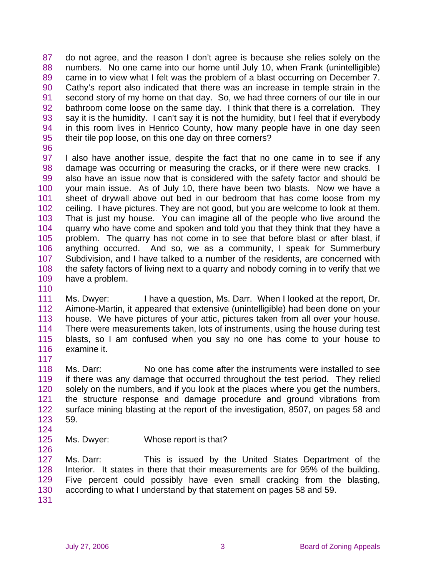87 88 89 90 91 92 93 94 95 do not agree, and the reason I don't agree is because she relies solely on the numbers. No one came into our home until July 10, when Frank (unintelligible) came in to view what I felt was the problem of a blast occurring on December 7. Cathy's report also indicated that there was an increase in temple strain in the second story of my home on that day. So, we had three corners of our tile in our bathroom come loose on the same day. I think that there is a correlation. They say it is the humidity. I can't say it is not the humidity, but I feel that if everybody in this room lives in Henrico County, how many people have in one day seen their tile pop loose, on this one day on three corners?

96

97 98 99 100 101 102 103 104 105 106 107 108 109 I also have another issue, despite the fact that no one came in to see if any damage was occurring or measuring the cracks, or if there were new cracks. I also have an issue now that is considered with the safety factor and should be your main issue. As of July 10, there have been two blasts. Now we have a sheet of drywall above out bed in our bedroom that has come loose from my ceiling. I have pictures. They are not good, but you are welcome to look at them. That is just my house. You can imagine all of the people who live around the quarry who have come and spoken and told you that they think that they have a problem. The quarry has not come in to see that before blast or after blast, if anything occurred. And so, we as a community, I speak for Summerbury Subdivision, and I have talked to a number of the residents, are concerned with the safety factors of living next to a quarry and nobody coming in to verify that we have a problem.

110

111 112 113 114 115 116 117 Ms. Dwyer: I have a question, Ms. Darr. When I looked at the report, Dr. Aimone-Martin, it appeared that extensive (unintelligible) had been done on your house. We have pictures of your attic, pictures taken from all over your house. There were measurements taken, lots of instruments, using the house during test blasts, so I am confused when you say no one has come to your house to examine it.

118 119 120 121 122 123 Ms. Darr: No one has come after the instruments were installed to see if there was any damage that occurred throughout the test period. They relied solely on the numbers, and if you look at the places where you get the numbers, the structure response and damage procedure and ground vibrations from surface mining blasting at the report of the investigation, 8507, on pages 58 and 59.

- 124
- 125 126 Ms. Dwyer: Whose report is that?

127 128 129 130 Ms. Darr: This is issued by the United States Department of the Interior. It states in there that their measurements are for 95% of the building. Five percent could possibly have even small cracking from the blasting, according to what I understand by that statement on pages 58 and 59.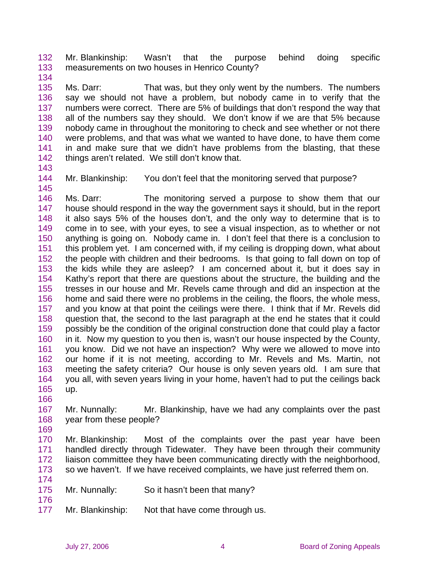132 133 Mr. Blankinship: Wasn't that the purpose behind doing specific measurements on two houses in Henrico County?

134

135 136 137 138 139 140 141 142 Ms. Darr: That was, but they only went by the numbers. The numbers say we should not have a problem, but nobody came in to verify that the numbers were correct. There are 5% of buildings that don't respond the way that all of the numbers say they should. We don't know if we are that 5% because nobody came in throughout the monitoring to check and see whether or not there were problems, and that was what we wanted to have done, to have them come in and make sure that we didn't have problems from the blasting, that these things aren't related. We still don't know that.

143

145

144 Mr. Blankinship: You don't feel that the monitoring served that purpose?

146 147 148 149 150 151 152 153 154 155 156 157 158 159 160 161 162 163 164 165 Ms. Darr: The monitoring served a purpose to show them that our house should respond in the way the government says it should, but in the report it also says 5% of the houses don't, and the only way to determine that is to come in to see, with your eyes, to see a visual inspection, as to whether or not anything is going on. Nobody came in. I don't feel that there is a conclusion to this problem yet. I am concerned with, if my ceiling is dropping down, what about the people with children and their bedrooms. Is that going to fall down on top of the kids while they are asleep? I am concerned about it, but it does say in Kathy's report that there are questions about the structure, the building and the tresses in our house and Mr. Revels came through and did an inspection at the home and said there were no problems in the ceiling, the floors, the whole mess, and you know at that point the ceilings were there. I think that if Mr. Revels did question that, the second to the last paragraph at the end he states that it could possibly be the condition of the original construction done that could play a factor in it. Now my question to you then is, wasn't our house inspected by the County, you know. Did we not have an inspection? Why were we allowed to move into our home if it is not meeting, according to Mr. Revels and Ms. Martin, not meeting the safety criteria? Our house is only seven years old. I am sure that you all, with seven years living in your home, haven't had to put the ceilings back up.

166

167 168 Mr. Nunnally: Mr. Blankinship, have we had any complaints over the past year from these people?

169

174

176

170 171 172 173 Mr. Blankinship: Most of the complaints over the past year have been handled directly through Tidewater. They have been through their community liaison committee they have been communicating directly with the neighborhood, so we haven't. If we have received complaints, we have just referred them on.

- 175 Mr. Nunnally: So it hasn't been that many?
- 177 Mr. Blankinship: Not that have come through us.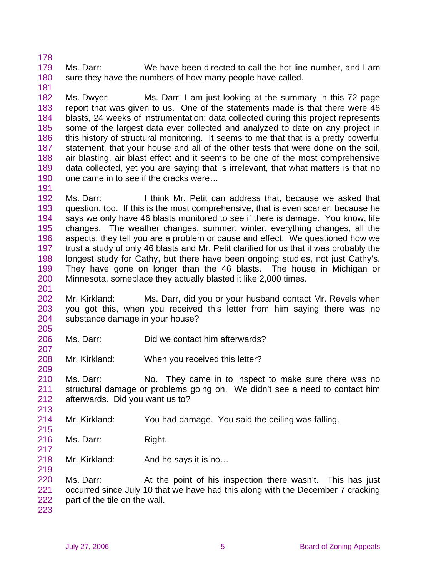179 180 181 Ms. Darr: We have been directed to call the hot line number, and I am sure they have the numbers of how many people have called.

182 183 184 185 186 187 188 189 190 Ms. Dwyer: Ms. Darr, I am just looking at the summary in this 72 page report that was given to us. One of the statements made is that there were 46 blasts, 24 weeks of instrumentation; data collected during this project represents some of the largest data ever collected and analyzed to date on any project in this history of structural monitoring. It seems to me that that is a pretty powerful statement, that your house and all of the other tests that were done on the soil, air blasting, air blast effect and it seems to be one of the most comprehensive data collected, yet you are saying that is irrelevant, that what matters is that no one came in to see if the cracks were…

192 193 194 195 196 197 198 199 200 Ms. Darr: I think Mr. Petit can address that, because we asked that question, too. If this is the most comprehensive, that is even scarier, because he says we only have 46 blasts monitored to see if there is damage. You know, life changes. The weather changes, summer, winter, everything changes, all the aspects; they tell you are a problem or cause and effect. We questioned how we trust a study of only 46 blasts and Mr. Petit clarified for us that it was probably the longest study for Cathy, but there have been ongoing studies, not just Cathy's. They have gone on longer than the 46 blasts. The house in Michigan or Minnesota, someplace they actually blasted it like 2,000 times.

- 202 203 204 Mr. Kirkland: Ms. Darr, did you or your husband contact Mr. Revels when you got this, when you received this letter from him saying there was no substance damage in your house?
- 206 Ms. Darr: Did we contact him afterwards?
- 208 Mr. Kirkland: When you received this letter?

210 211 212 Ms. Darr: No. They came in to inspect to make sure there was no structural damage or problems going on. We didn't see a need to contact him afterwards. Did you want us to?

- 214 Mr. Kirkland: You had damage. You said the ceiling was falling.
- 216 Ms. Darr: Right.
- 218 Mr. Kirkland: And he says it is no...

219

178

191

201

205

207

209

213

215

217

220 221 222 Ms. Darr: At the point of his inspection there wasn't. This has just occurred since July 10 that we have had this along with the December 7 cracking part of the tile on the wall.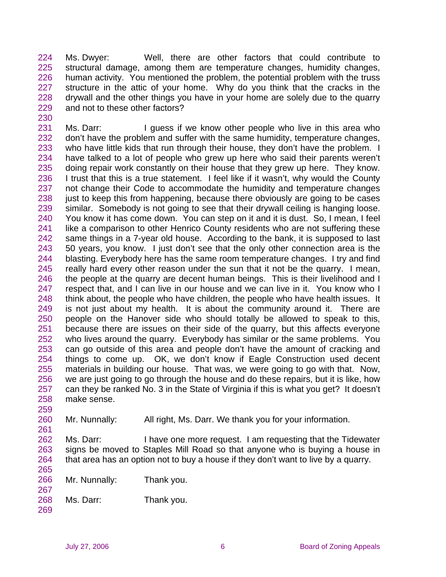224 225 226 227 228 229 Ms. Dwyer: Well, there are other factors that could contribute to structural damage, among them are temperature changes, humidity changes, human activity. You mentioned the problem, the potential problem with the truss structure in the attic of your home. Why do you think that the cracks in the drywall and the other things you have in your home are solely due to the quarry and not to these other factors?

231 232 233 234 235 236 237 238 239 240 241 242 243 244 245 246 247 248 249 250 251 252 253 254 255 256 257 258 259 Ms. Darr: I guess if we know other people who live in this area who don't have the problem and suffer with the same humidity, temperature changes, who have little kids that run through their house, they don't have the problem. I have talked to a lot of people who grew up here who said their parents weren't doing repair work constantly on their house that they grew up here. They know. I trust that this is a true statement. I feel like if it wasn't, why would the County not change their Code to accommodate the humidity and temperature changes just to keep this from happening, because there obviously are going to be cases similar. Somebody is not going to see that their drywall ceiling is hanging loose. You know it has come down. You can step on it and it is dust. So, I mean, I feel like a comparison to other Henrico County residents who are not suffering these same things in a 7-year old house. According to the bank, it is supposed to last 50 years, you know. I just don't see that the only other connection area is the blasting. Everybody here has the same room temperature changes. I try and find really hard every other reason under the sun that it not be the quarry. I mean, the people at the quarry are decent human beings. This is their livelihood and I respect that, and I can live in our house and we can live in it. You know who I think about, the people who have children, the people who have health issues. It is not just about my health. It is about the community around it. There are people on the Hanover side who should totally be allowed to speak to this, because there are issues on their side of the quarry, but this affects everyone who lives around the quarry. Everybody has similar or the same problems. You can go outside of this area and people don't have the amount of cracking and things to come up. OK, we don't know if Eagle Construction used decent materials in building our house. That was, we were going to go with that. Now, we are just going to go through the house and do these repairs, but it is like, how can they be ranked No. 3 in the State of Virginia if this is what you get? It doesn't make sense.

260 Mr. Nunnally: All right, Ms. Darr. We thank you for your information.

262 263 264 265 Ms. Darr: I have one more request. I am requesting that the Tidewater signs be moved to Staples Mill Road so that anyone who is buying a house in that area has an option not to buy a house if they don't want to live by a quarry.

266 Mr. Nunnally: Thank you.

268 Ms. Darr: Thank you.

230

261

267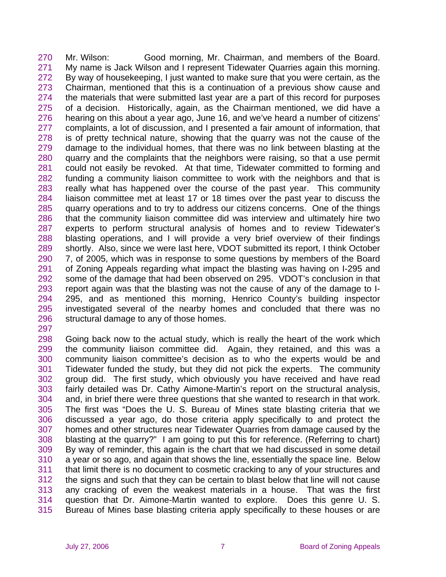270 271 272 273 274 275 276 277 278 279 280 281 282 283 284 285 286 287 288 289 290 291 292 293 294 295 296 Mr. Wilson: Good morning, Mr. Chairman, and members of the Board. My name is Jack Wilson and I represent Tidewater Quarries again this morning. By way of housekeeping, I just wanted to make sure that you were certain, as the Chairman, mentioned that this is a continuation of a previous show cause and the materials that were submitted last year are a part of this record for purposes of a decision. Historically, again, as the Chairman mentioned, we did have a hearing on this about a year ago, June 16, and we've heard a number of citizens' complaints, a lot of discussion, and I presented a fair amount of information, that is of pretty technical nature, showing that the quarry was not the cause of the damage to the individual homes, that there was no link between blasting at the quarry and the complaints that the neighbors were raising, so that a use permit could not easily be revoked. At that time, Tidewater committed to forming and funding a community liaison committee to work with the neighbors and that is really what has happened over the course of the past year. This community liaison committee met at least 17 or 18 times over the past year to discuss the quarry operations and to try to address our citizens concerns. One of the things that the community liaison committee did was interview and ultimately hire two experts to perform structural analysis of homes and to review Tidewater's blasting operations, and I will provide a very brief overview of their findings shortly. Also, since we were last here, VDOT submitted its report, I think October 7, of 2005, which was in response to some questions by members of the Board of Zoning Appeals regarding what impact the blasting was having on I-295 and some of the damage that had been observed on 295. VDOT's conclusion in that report again was that the blasting was not the cause of any of the damage to I-295, and as mentioned this morning, Henrico County's building inspector investigated several of the nearby homes and concluded that there was no structural damage to any of those homes.

297

298 299 300 301 302 303 304 305 306 307 308 309 310 311 312 313 314 315 Going back now to the actual study, which is really the heart of the work which the community liaison committee did. Again, they retained, and this was a community liaison committee's decision as to who the experts would be and Tidewater funded the study, but they did not pick the experts. The community group did. The first study, which obviously you have received and have read fairly detailed was Dr. Cathy Aimone-Martin's report on the structural analysis, and, in brief there were three questions that she wanted to research in that work. The first was "Does the U. S. Bureau of Mines state blasting criteria that we discussed a year ago, do those criteria apply specifically to and protect the homes and other structures near Tidewater Quarries from damage caused by the blasting at the quarry?" I am going to put this for reference. (Referring to chart) By way of reminder, this again is the chart that we had discussed in some detail a year or so ago, and again that shows the line, essentially the space line. Below that limit there is no document to cosmetic cracking to any of your structures and the signs and such that they can be certain to blast below that line will not cause any cracking of even the weakest materials in a house. That was the first question that Dr. Aimone-Martin wanted to explore. Does this genre U. S. Bureau of Mines base blasting criteria apply specifically to these houses or are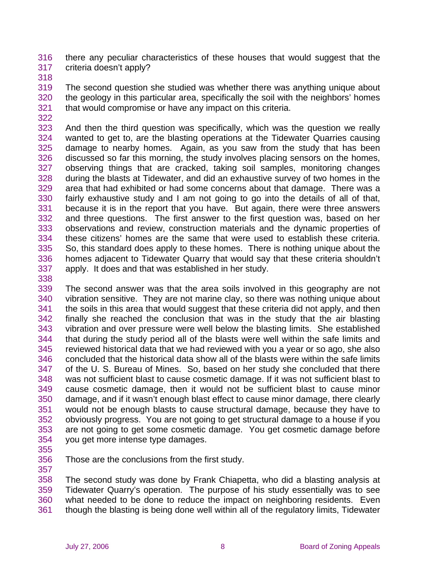316 317 there any peculiar characteristics of these houses that would suggest that the criteria doesn't apply?

318

319 320 321 The second question she studied was whether there was anything unique about the geology in this particular area, specifically the soil with the neighbors' homes that would compromise or have any impact on this criteria.

322

323 324 325 326 327 328 329 330 331 332 333 334 335 336 337 And then the third question was specifically, which was the question we really wanted to get to, are the blasting operations at the Tidewater Quarries causing damage to nearby homes. Again, as you saw from the study that has been discussed so far this morning, the study involves placing sensors on the homes, observing things that are cracked, taking soil samples, monitoring changes during the blasts at Tidewater, and did an exhaustive survey of two homes in the area that had exhibited or had some concerns about that damage. There was a fairly exhaustive study and I am not going to go into the details of all of that, because it is in the report that you have. But again, there were three answers and three questions. The first answer to the first question was, based on her observations and review, construction materials and the dynamic properties of these citizens' homes are the same that were used to establish these criteria. So, this standard does apply to these homes. There is nothing unique about the homes adjacent to Tidewater Quarry that would say that these criteria shouldn't apply. It does and that was established in her study.

338

339 340 341 342 343 344 345 346 347 348 349 350 351 352 353 354 The second answer was that the area soils involved in this geography are not vibration sensitive. They are not marine clay, so there was nothing unique about the soils in this area that would suggest that these criteria did not apply, and then finally she reached the conclusion that was in the study that the air blasting vibration and over pressure were well below the blasting limits. She established that during the study period all of the blasts were well within the safe limits and reviewed historical data that we had reviewed with you a year or so ago, she also concluded that the historical data show all of the blasts were within the safe limits of the U. S. Bureau of Mines. So, based on her study she concluded that there was not sufficient blast to cause cosmetic damage. If it was not sufficient blast to cause cosmetic damage, then it would not be sufficient blast to cause minor damage, and if it wasn't enough blast effect to cause minor damage, there clearly would not be enough blasts to cause structural damage, because they have to obviously progress. You are not going to get structural damage to a house if you are not going to get some cosmetic damage. You get cosmetic damage before you get more intense type damages.

- 355
- 356 357

Those are the conclusions from the first study.

358 359 360 361 The second study was done by Frank Chiapetta, who did a blasting analysis at Tidewater Quarry's operation. The purpose of his study essentially was to see what needed to be done to reduce the impact on neighboring residents. Even though the blasting is being done well within all of the regulatory limits, Tidewater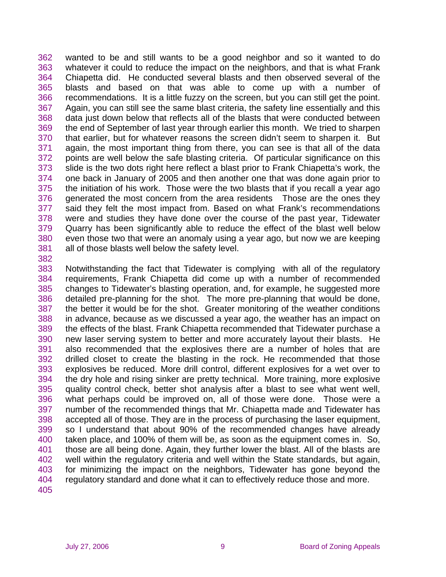362 363 364 365 366 367 368 369 370 371 372 373 374 375 376 377 378 379 380 381 wanted to be and still wants to be a good neighbor and so it wanted to do whatever it could to reduce the impact on the neighbors, and that is what Frank Chiapetta did. He conducted several blasts and then observed several of the blasts and based on that was able to come up with a number of recommendations. It is a little fuzzy on the screen, but you can still get the point. Again, you can still see the same blast criteria, the safety line essentially and this data just down below that reflects all of the blasts that were conducted between the end of September of last year through earlier this month. We tried to sharpen that earlier, but for whatever reasons the screen didn't seem to sharpen it. But again, the most important thing from there, you can see is that all of the data points are well below the safe blasting criteria. Of particular significance on this slide is the two dots right here reflect a blast prior to Frank Chiapetta's work, the one back in January of 2005 and then another one that was done again prior to the initiation of his work. Those were the two blasts that if you recall a year ago generated the most concern from the area residents Those are the ones they said they felt the most impact from. Based on what Frank's recommendations were and studies they have done over the course of the past year, Tidewater Quarry has been significantly able to reduce the effect of the blast well below even those two that were an anomaly using a year ago, but now we are keeping all of those blasts well below the safety level.

382

383 384 385 386 387 388 389 390 391 392 393 394 395 396 397 398 399 400 401 402 403 404 405 Notwithstanding the fact that Tidewater is complying with all of the regulatory requirements, Frank Chiapetta did come up with a number of recommended changes to Tidewater's blasting operation, and, for example, he suggested more detailed pre-planning for the shot. The more pre-planning that would be done, the better it would be for the shot. Greater monitoring of the weather conditions in advance, because as we discussed a year ago, the weather has an impact on the effects of the blast. Frank Chiapetta recommended that Tidewater purchase a new laser serving system to better and more accurately layout their blasts. He also recommended that the explosives there are a number of holes that are drilled closet to create the blasting in the rock. He recommended that those explosives be reduced. More drill control, different explosives for a wet over to the dry hole and rising sinker are pretty technical. More training, more explosive quality control check, better shot analysis after a blast to see what went well, what perhaps could be improved on, all of those were done. Those were a number of the recommended things that Mr. Chiapetta made and Tidewater has accepted all of those. They are in the process of purchasing the laser equipment, so I understand that about 90% of the recommended changes have already taken place, and 100% of them will be, as soon as the equipment comes in. So, those are all being done. Again, they further lower the blast. All of the blasts are well within the regulatory criteria and well within the State standards, but again, for minimizing the impact on the neighbors, Tidewater has gone beyond the regulatory standard and done what it can to effectively reduce those and more.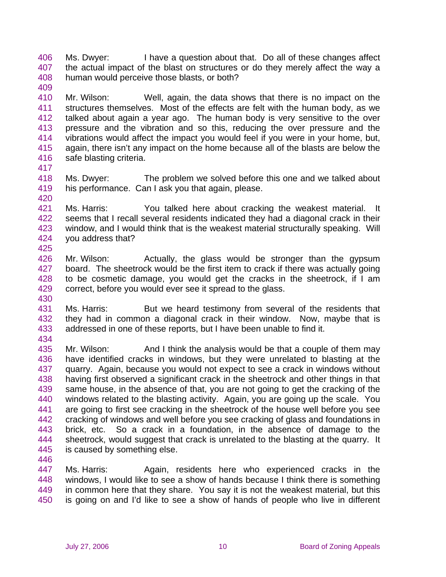406 407 408 409 Ms. Dwyer: I have a question about that. Do all of these changes affect the actual impact of the blast on structures or do they merely affect the way a human would perceive those blasts, or both?

410 411 412 413 414 415 416 Mr. Wilson: Well, again, the data shows that there is no impact on the structures themselves. Most of the effects are felt with the human body, as we talked about again a year ago. The human body is very sensitive to the over pressure and the vibration and so this, reducing the over pressure and the vibrations would affect the impact you would feel if you were in your home, but, again, there isn't any impact on the home because all of the blasts are below the safe blasting criteria.

- 417
- 418 419 420 Ms. Dwyer: The problem we solved before this one and we talked about his performance. Can I ask you that again, please.

421 422 423 424 425 Ms. Harris: You talked here about cracking the weakest material. It seems that I recall several residents indicated they had a diagonal crack in their window, and I would think that is the weakest material structurally speaking. Will you address that?

- 426 427 428 429 430 Mr. Wilson: Actually, the glass would be stronger than the gypsum board. The sheetrock would be the first item to crack if there was actually going to be cosmetic damage, you would get the cracks in the sheetrock, if I am correct, before you would ever see it spread to the glass.
- 431 432 433 Ms. Harris: But we heard testimony from several of the residents that they had in common a diagonal crack in their window. Now, maybe that is addressed in one of these reports, but I have been unable to find it.
- 434

435 436 437 438 439 440 441 442 443 444 445 Mr. Wilson: And I think the analysis would be that a couple of them may have identified cracks in windows, but they were unrelated to blasting at the quarry. Again, because you would not expect to see a crack in windows without having first observed a significant crack in the sheetrock and other things in that same house, in the absence of that, you are not going to get the cracking of the windows related to the blasting activity. Again, you are going up the scale. You are going to first see cracking in the sheetrock of the house well before you see cracking of windows and well before you see cracking of glass and foundations in brick, etc. So a crack in a foundation, in the absence of damage to the sheetrock, would suggest that crack is unrelated to the blasting at the quarry. It is caused by something else.

446

447 448 449 450 Ms. Harris: Again, residents here who experienced cracks in the windows, I would like to see a show of hands because I think there is something in common here that they share. You say it is not the weakest material, but this is going on and I'd like to see a show of hands of people who live in different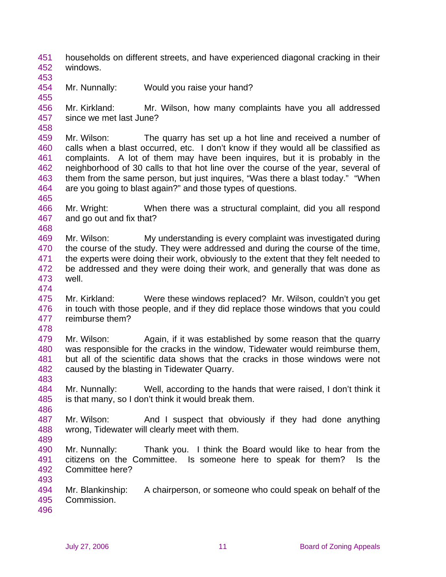451 452 households on different streets, and have experienced diagonal cracking in their windows.

453 454 Mr. Nunnally: Would you raise your hand?

456 457 Mr. Kirkland: Mr. Wilson, how many complaints have you all addressed since we met last June?

- 459 460 461 462 463 464 465 Mr. Wilson: The quarry has set up a hot line and received a number of calls when a blast occurred, etc. I don't know if they would all be classified as complaints. A lot of them may have been inquires, but it is probably in the neighborhood of 30 calls to that hot line over the course of the year, several of them from the same person, but just inquires, "Was there a blast today." "When are you going to blast again?" and those types of questions.
- 466 467 Mr. Wright: When there was a structural complaint, did you all respond and go out and fix that?
- 469 470 471 472 473 Mr. Wilson: My understanding is every complaint was investigated during the course of the study. They were addressed and during the course of the time, the experts were doing their work, obviously to the extent that they felt needed to be addressed and they were doing their work, and generally that was done as well.
- 474

468

455

458

- 475 476 477 Mr. Kirkland: Were these windows replaced? Mr. Wilson, couldn't you get in touch with those people, and if they did replace those windows that you could reimburse them?
- 478

483

486

489

- 479 480 481 482 Mr. Wilson: Again, if it was established by some reason that the quarry was responsible for the cracks in the window, Tidewater would reimburse them, but all of the scientific data shows that the cracks in those windows were not caused by the blasting in Tidewater Quarry.
- 484 485 Mr. Nunnally: Well, according to the hands that were raised, I don't think it is that many, so I don't think it would break them.
- 487 488 Mr. Wilson: And I suspect that obviously if they had done anything wrong, Tidewater will clearly meet with them.
- 490 491 492 Mr. Nunnally: Thank you. I think the Board would like to hear from the citizens on the Committee. Is someone here to speak for them? Is the Committee here?
- 494 495 Mr. Blankinship: A chairperson, or someone who could speak on behalf of the Commission.
- 496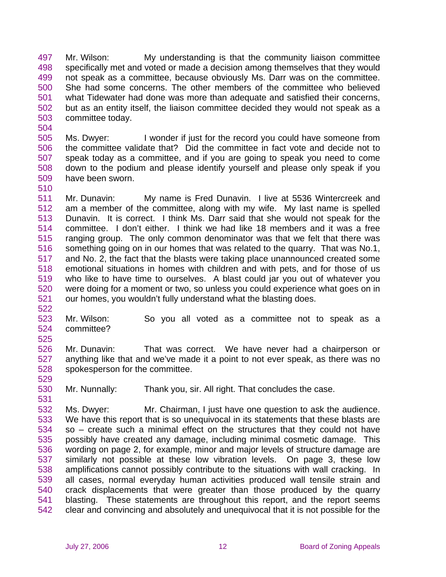497 498 499 500 501 502 503 Mr. Wilson: My understanding is that the community liaison committee specifically met and voted or made a decision among themselves that they would not speak as a committee, because obviously Ms. Darr was on the committee. She had some concerns. The other members of the committee who believed what Tidewater had done was more than adequate and satisfied their concerns, but as an entity itself, the liaison committee decided they would not speak as a committee today.

505 506 507 508 509 Ms. Dwyer: I wonder if just for the record you could have someone from the committee validate that? Did the committee in fact vote and decide not to speak today as a committee, and if you are going to speak you need to come down to the podium and please identify yourself and please only speak if you have been sworn.

511 512 513 514 515 516 517 518 519 520 521 Mr. Dunavin: My name is Fred Dunavin. I live at 5536 Wintercreek and am a member of the committee, along with my wife. My last name is spelled Dunavin. It is correct. I think Ms. Darr said that she would not speak for the committee. I don't either. I think we had like 18 members and it was a free ranging group. The only common denominator was that we felt that there was something going on in our homes that was related to the quarry. That was No.1, and No. 2, the fact that the blasts were taking place unannounced created some emotional situations in homes with children and with pets, and for those of us who like to have time to ourselves. A blast could jar you out of whatever you were doing for a moment or two, so unless you could experience what goes on in our homes, you wouldn't fully understand what the blasting does.

523 524 525 Mr. Wilson: So you all voted as a committee not to speak as a committee?

526 527 528 Mr. Dunavin: That was correct. We have never had a chairperson or anything like that and we've made it a point to not ever speak, as there was no spokesperson for the committee.

529 530

531

522

504

510

Mr. Nunnally: Thank you, sir. All right. That concludes the case.

532 533 534 535 536 537 538 539 540 541 542 Ms. Dwyer: Mr. Chairman, I just have one question to ask the audience. We have this report that is so unequivocal in its statements that these blasts are so – create such a minimal effect on the structures that they could not have possibly have created any damage, including minimal cosmetic damage. This wording on page 2, for example, minor and major levels of structure damage are similarly not possible at these low vibration levels. On page 3, these low amplifications cannot possibly contribute to the situations with wall cracking. In all cases, normal everyday human activities produced wall tensile strain and crack displacements that were greater than those produced by the quarry blasting. These statements are throughout this report, and the report seems clear and convincing and absolutely and unequivocal that it is not possible for the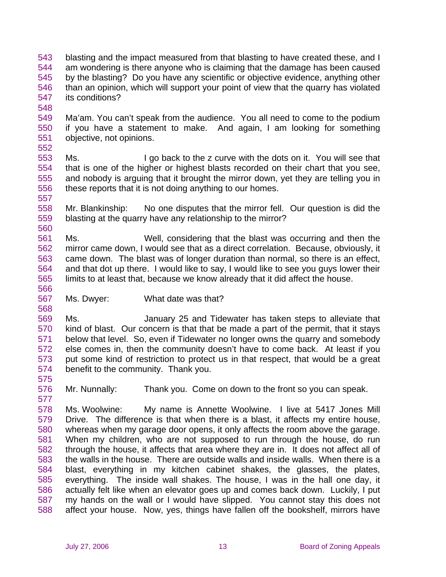- 543 544 545 546 547 blasting and the impact measured from that blasting to have created these, and I am wondering is there anyone who is claiming that the damage has been caused by the blasting? Do you have any scientific or objective evidence, anything other than an opinion, which will support your point of view that the quarry has violated its conditions?
- 548

549 550 551 Ma'am. You can't speak from the audience. You all need to come to the podium if you have a statement to make. And again, I am looking for something objective, not opinions.

552

553 554 555 556 557 Ms. I go back to the z curve with the dots on it. You will see that that is one of the higher or highest blasts recorded on their chart that you see, and nobody is arguing that it brought the mirror down, yet they are telling you in these reports that it is not doing anything to our homes.

558 559 560 Mr. Blankinship: No one disputes that the mirror fell. Our question is did the blasting at the quarry have any relationship to the mirror?

561 562 563 564 565 566 Ms. Well, considering that the blast was occurring and then the mirror came down, I would see that as a direct correlation. Because, obviously, it came down. The blast was of longer duration than normal, so there is an effect, and that dot up there. I would like to say, I would like to see you guys lower their limits to at least that, because we know already that it did affect the house.

567 Ms. Dwyer: What date was that?

569 570 571 572 573 574 Ms. January 25 and Tidewater has taken steps to alleviate that kind of blast. Our concern is that that be made a part of the permit, that it stays below that level. So, even if Tidewater no longer owns the quarry and somebody else comes in, then the community doesn't have to come back. At least if you put some kind of restriction to protect us in that respect, that would be a great benefit to the community. Thank you.

575 576 577

568

Mr. Nunnally: Thank you. Come on down to the front so you can speak.

578 579 580 581 582 583 584 585 586 587 588 Ms. Woolwine: My name is Annette Woolwine. I live at 5417 Jones Mill Drive. The difference is that when there is a blast, it affects my entire house, whereas when my garage door opens, it only affects the room above the garage. When my children, who are not supposed to run through the house, do run through the house, it affects that area where they are in. It does not affect all of the walls in the house. There are outside walls and inside walls. When there is a blast, everything in my kitchen cabinet shakes, the glasses, the plates, everything. The inside wall shakes. The house, I was in the hall one day, it actually felt like when an elevator goes up and comes back down. Luckily, I put my hands on the wall or I would have slipped. You cannot stay this does not affect your house. Now, yes, things have fallen off the bookshelf, mirrors have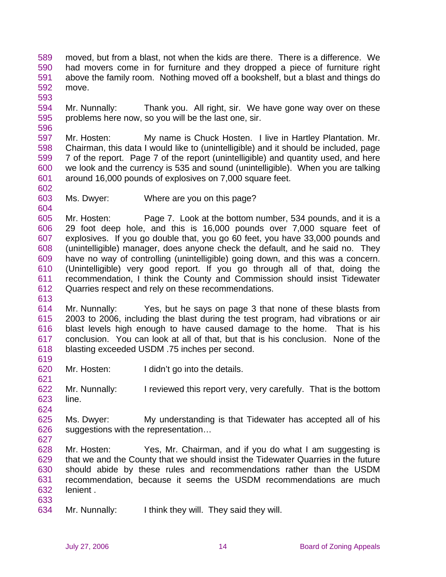589 590 591 592 593 moved, but from a blast, not when the kids are there. There is a difference. We had movers come in for furniture and they dropped a piece of furniture right above the family room. Nothing moved off a bookshelf, but a blast and things do move.

594 595 Mr. Nunnally: Thank you. All right, sir. We have gone way over on these problems here now, so you will be the last one, sir.

597 598 599 600 601 Mr. Hosten: My name is Chuck Hosten. I live in Hartley Plantation. Mr. Chairman, this data I would like to (unintelligible) and it should be included, page 7 of the report. Page 7 of the report (unintelligible) and quantity used, and here we look and the currency is 535 and sound (unintelligible). When you are talking around 16,000 pounds of explosives on 7,000 square feet.

602 603

604

619

621

627

596

Ms. Dwyer: Where are you on this page?

605 606 607 608 609 610 611 612 613 Mr. Hosten: Page 7. Look at the bottom number, 534 pounds, and it is a 29 foot deep hole, and this is 16,000 pounds over 7,000 square feet of explosives. If you go double that, you go 60 feet, you have 33,000 pounds and (unintelligible) manager, does anyone check the default, and he said no. They have no way of controlling (unintelligible) going down, and this was a concern. (Unintelligible) very good report. If you go through all of that, doing the recommendation, I think the County and Commission should insist Tidewater Quarries respect and rely on these recommendations.

- 614 615 616 617 618 Mr. Nunnally: Yes, but he says on page 3 that none of these blasts from 2003 to 2006, including the blast during the test program, had vibrations or air blast levels high enough to have caused damage to the home. That is his conclusion. You can look at all of that, but that is his conclusion. None of the blasting exceeded USDM .75 inches per second.
- 620 Mr. Hosten: I didn't go into the details.

622 623 624 Mr. Nunnally: I reviewed this report very, very carefully. That is the bottom line.

- 625 626 Ms. Dwyer: My understanding is that Tidewater has accepted all of his suggestions with the representation…
- 628 629 630 631 632 633 Mr. Hosten: Yes, Mr. Chairman, and if you do what I am suggesting is that we and the County that we should insist the Tidewater Quarries in the future should abide by these rules and recommendations rather than the USDM recommendation, because it seems the USDM recommendations are much lenient .
- 634 Mr. Nunnally: I think they will. They said they will.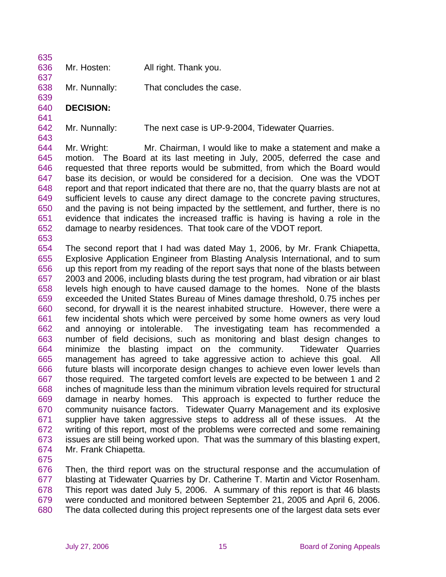| 635 |                 |                       |
|-----|-----------------|-----------------------|
|     | 636 Mr. Hosten: | All right. Thank you. |

638 Mr. Nunnally: That concludes the case.

## 640 **DECISION:**

637

639

641

643

642 Mr. Nunnally: The next case is UP-9-2004, Tidewater Quarries.

644 645 646 647 648 649 650 651 652 653 Mr. Wright: Mr. Chairman, I would like to make a statement and make a motion. The Board at its last meeting in July, 2005, deferred the case and requested that three reports would be submitted, from which the Board would base its decision, or would be considered for a decision. One was the VDOT report and that report indicated that there are no, that the quarry blasts are not at sufficient levels to cause any direct damage to the concrete paving structures, and the paving is not being impacted by the settlement, and further, there is no evidence that indicates the increased traffic is having is having a role in the damage to nearby residences. That took care of the VDOT report.

654 655 656 657 658 659 660 661 662 663 664 665 666 667 668 669 670 671 672 673 674 The second report that I had was dated May 1, 2006, by Mr. Frank Chiapetta, Explosive Application Engineer from Blasting Analysis International, and to sum up this report from my reading of the report says that none of the blasts between 2003 and 2006, including blasts during the test program, had vibration or air blast levels high enough to have caused damage to the homes. None of the blasts exceeded the United States Bureau of Mines damage threshold, 0.75 inches per second, for drywall it is the nearest inhabited structure. However, there were a few incidental shots which were perceived by some home owners as very loud and annoying or intolerable. The investigating team has recommended a number of field decisions, such as monitoring and blast design changes to minimize the blasting impact on the community. Tidewater Quarries management has agreed to take aggressive action to achieve this goal. All future blasts will incorporate design changes to achieve even lower levels than those required. The targeted comfort levels are expected to be between 1 and 2 inches of magnitude less than the minimum vibration levels required for structural damage in nearby homes. This approach is expected to further reduce the community nuisance factors. Tidewater Quarry Management and its explosive supplier have taken aggressive steps to address all of these issues. At the writing of this report, most of the problems were corrected and some remaining issues are still being worked upon. That was the summary of this blasting expert, Mr. Frank Chiapetta.

675

676 677 678 679 680 Then, the third report was on the structural response and the accumulation of blasting at Tidewater Quarries by Dr. Catherine T. Martin and Victor Rosenham. This report was dated July 5, 2006. A summary of this report is that 46 blasts were conducted and monitored between September 21, 2005 and April 6, 2006. The data collected during this project represents one of the largest data sets ever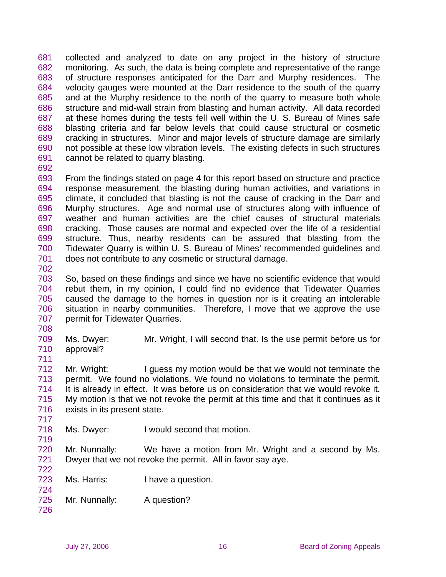681 682 683 684 685 686 687 688 689 690 691 collected and analyzed to date on any project in the history of structure monitoring. As such, the data is being complete and representative of the range of structure responses anticipated for the Darr and Murphy residences. The velocity gauges were mounted at the Darr residence to the south of the quarry and at the Murphy residence to the north of the quarry to measure both whole structure and mid-wall strain from blasting and human activity. All data recorded at these homes during the tests fell well within the U. S. Bureau of Mines safe blasting criteria and far below levels that could cause structural or cosmetic cracking in structures. Minor and major levels of structure damage are similarly not possible at these low vibration levels. The existing defects in such structures cannot be related to quarry blasting.

692

693 694 695 696 697 698 699 700 701 From the findings stated on page 4 for this report based on structure and practice response measurement, the blasting during human activities, and variations in climate, it concluded that blasting is not the cause of cracking in the Darr and Murphy structures. Age and normal use of structures along with influence of weather and human activities are the chief causes of structural materials cracking. Those causes are normal and expected over the life of a residential structure. Thus, nearby residents can be assured that blasting from the Tidewater Quarry is within U. S. Bureau of Mines' recommended guidelines and does not contribute to any cosmetic or structural damage.

703 704 705 706 707 So, based on these findings and since we have no scientific evidence that would rebut them, in my opinion, I could find no evidence that Tidewater Quarries caused the damage to the homes in question nor is it creating an intolerable situation in nearby communities. Therefore, I move that we approve the use permit for Tidewater Quarries.

708

711

717

724

702

709 710 Ms. Dwyer: Mr. Wright, I will second that. Is the use permit before us for approval?

712 713 714 715 716 Mr. Wright: I guess my motion would be that we would not terminate the permit. We found no violations. We found no violations to terminate the permit. It is already in effect. It was before us on consideration that we would revoke it. My motion is that we not revoke the permit at this time and that it continues as it exists in its present state.

718 719 Ms. Dwyer: I would second that motion.

720 721 722 Mr. Nunnally: We have a motion from Mr. Wright and a second by Ms. Dwyer that we not revoke the permit. All in favor say aye.

- 723 Ms. Harris: I have a question.
- 725 Mr. Nunnally: A question?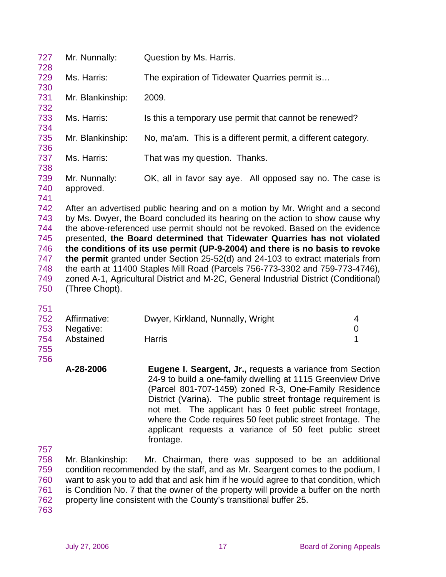| 727<br>728               | Mr. Nunnally:              | Question by Ms. Harris.                                                                                                                                                                                                                                                                                                    |
|--------------------------|----------------------------|----------------------------------------------------------------------------------------------------------------------------------------------------------------------------------------------------------------------------------------------------------------------------------------------------------------------------|
| 729<br>730               | Ms. Harris:                | The expiration of Tidewater Quarries permit is                                                                                                                                                                                                                                                                             |
| 731<br>732               | Mr. Blankinship:           | 2009.                                                                                                                                                                                                                                                                                                                      |
| 733<br>734               | Ms. Harris:                | Is this a temporary use permit that cannot be renewed?                                                                                                                                                                                                                                                                     |
| 735<br>736               | Mr. Blankinship:           | No, ma'am. This is a different permit, a different category.                                                                                                                                                                                                                                                               |
| 737<br>738               | Ms. Harris:                | That was my question. Thanks.                                                                                                                                                                                                                                                                                              |
| 739<br>740<br>741        | Mr. Nunnally:<br>approved. | OK, all in favor say aye. All opposed say no. The case is                                                                                                                                                                                                                                                                  |
| 742<br>743<br>744<br>745 |                            | After an advertised public hearing and on a motion by Mr. Wright and a second<br>by Ms. Dwyer, the Board concluded its hearing on the action to show cause why<br>the above-referenced use permit should not be revoked. Based on the evidence<br>presented, the Board determined that Tidewater Quarries has not violated |
| 746                      |                            | the conditions of its use permit (UP-9-2004) and there is no basis to revoke                                                                                                                                                                                                                                               |
| 747                      |                            | the permit granted under Section 25-52(d) and 24-103 to extract materials from                                                                                                                                                                                                                                             |
| 748                      |                            | the earth at 11400 Staples Mill Road (Parcels 756-773-3302 and 759-773-4746),                                                                                                                                                                                                                                              |
| 749                      |                            | zoned A-1, Agricultural District and M-2C, General Industrial District (Conditional)                                                                                                                                                                                                                                       |
| 750                      | (Three Chopt).             |                                                                                                                                                                                                                                                                                                                            |

751

|     | 752 Affirmative: | Dwyer, Kirkland, Nunnally, Wright |  |
|-----|------------------|-----------------------------------|--|
|     | 753 Negative:    |                                   |  |
| 754 | Abstained        | Harris                            |  |
| 755 |                  |                                   |  |

756

| A-28-2006 | <b>Eugene I. Seargent, Jr., requests a variance from Section</b><br>24-9 to build a one-family dwelling at 1115 Greenview Drive<br>(Parcel 801-707-1459) zoned R-3, One-Family Residence<br>District (Varina). The public street frontage requirement is<br>not met. The applicant has 0 feet public street frontage,<br>where the Code requires 50 feet public street frontage. The<br>applicant requests a variance of 50 feet public street |
|-----------|------------------------------------------------------------------------------------------------------------------------------------------------------------------------------------------------------------------------------------------------------------------------------------------------------------------------------------------------------------------------------------------------------------------------------------------------|
|           | frontage.                                                                                                                                                                                                                                                                                                                                                                                                                                      |

757

758 759 760 761 762 Mr. Blankinship: Mr. Chairman, there was supposed to be an additional condition recommended by the staff, and as Mr. Seargent comes to the podium, I want to ask you to add that and ask him if he would agree to that condition, which is Condition No. 7 that the owner of the property will provide a buffer on the north property line consistent with the County's transitional buffer 25.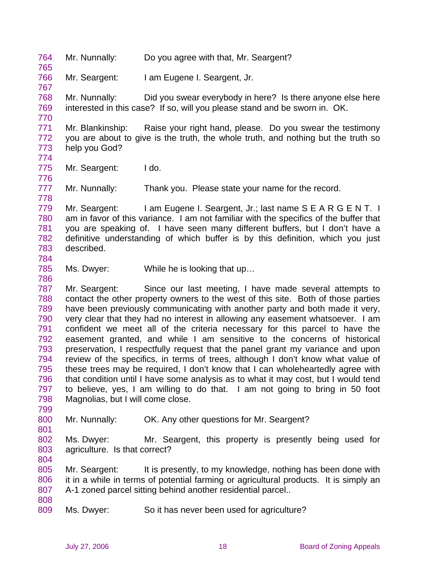764 Mr. Nunnally: Do you agree with that, Mr. Seargent?

766 Mr. Seargent: I am Eugene I. Seargent, Jr.

768 769 Mr. Nunnally: Did you swear everybody in here? Is there anyone else here interested in this case? If so, will you please stand and be sworn in. OK.

771 772 773 Mr. Blankinship: Raise your right hand, please. Do you swear the testimony you are about to give is the truth, the whole truth, and nothing but the truth so help you God?

774

776

778

784

786

765

767

770

775 Mr. Seargent: I do.

777 Mr. Nunnally: Thank you. Please state your name for the record.

779 780 781 782 783 Mr. Seargent: I am Eugene I. Seargent, Jr.; last name S E A R G E N T. I am in favor of this variance. I am not familiar with the specifics of the buffer that you are speaking of. I have seen many different buffers, but I don't have a definitive understanding of which buffer is by this definition, which you just described.

785 Ms. Dwyer: While he is looking that up…

787 788 789 790 791 792 793 794 795 796 797 798 Mr. Seargent: Since our last meeting, I have made several attempts to contact the other property owners to the west of this site. Both of those parties have been previously communicating with another party and both made it very, very clear that they had no interest in allowing any easement whatsoever. I am confident we meet all of the criteria necessary for this parcel to have the easement granted, and while I am sensitive to the concerns of historical preservation, I respectfully request that the panel grant my variance and upon review of the specifics, in terms of trees, although I don't know what value of these trees may be required, I don't know that I can wholeheartedly agree with that condition until I have some analysis as to what it may cost, but I would tend to believe, yes, I am willing to do that. I am not going to bring in 50 foot Magnolias, but I will come close.

800 Mr. Nunnally: OK. Any other questions for Mr. Seargent?

802 803 804 Ms. Dwyer: Mr. Seargent, this property is presently being used for agriculture. Is that correct?

805 806 807 Mr. Seargent: It is presently, to my knowledge, nothing has been done with it in a while in terms of potential farming or agricultural products. It is simply an A-1 zoned parcel sitting behind another residential parcel..

808

799

801

809 Ms. Dwyer: So it has never been used for agriculture?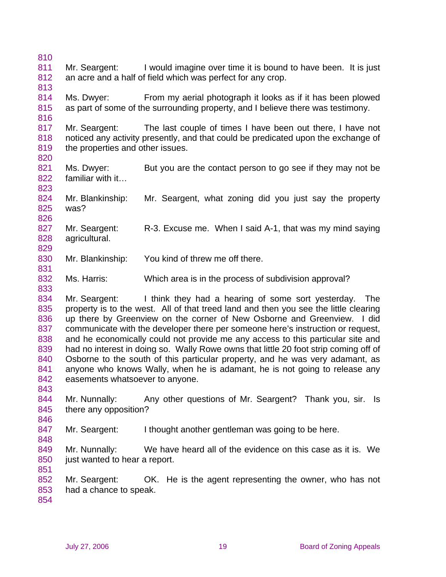810 811 812 813 814 815 816 817 818 819 820 821 822 823 824 825 826 827 828 829 830 831 832 833 834 835 836 837 838 839 840 841 842 843 844 845 846 847 848 849 850 851 852 853 854 Mr. Seargent: I would imagine over time it is bound to have been. It is just an acre and a half of field which was perfect for any crop. Ms. Dwyer: From my aerial photograph it looks as if it has been plowed as part of some of the surrounding property, and I believe there was testimony. Mr. Seargent: The last couple of times I have been out there, I have not noticed any activity presently, and that could be predicated upon the exchange of the properties and other issues. Ms. Dwyer: But you are the contact person to go see if they may not be familiar with it… Mr. Blankinship: Mr. Seargent, what zoning did you just say the property was? Mr. Seargent: R-3. Excuse me. When I said A-1, that was my mind saying agricultural. Mr. Blankinship: You kind of threw me off there. Ms. Harris: Which area is in the process of subdivision approval? Mr. Seargent: I think they had a hearing of some sort yesterday. The property is to the west. All of that treed land and then you see the little clearing up there by Greenview on the corner of New Osborne and Greenview. I did communicate with the developer there per someone here's instruction or request, and he economically could not provide me any access to this particular site and had no interest in doing so. Wally Rowe owns that little 20 foot strip coming off of Osborne to the south of this particular property, and he was very adamant, as anyone who knows Wally, when he is adamant, he is not going to release any easements whatsoever to anyone. Mr. Nunnally: Any other questions of Mr. Seargent? Thank you, sir. Is there any opposition? Mr. Seargent: I thought another gentleman was going to be here. Mr. Nunnally: We have heard all of the evidence on this case as it is. We just wanted to hear a report. Mr. Seargent: OK. He is the agent representing the owner, who has not had a chance to speak.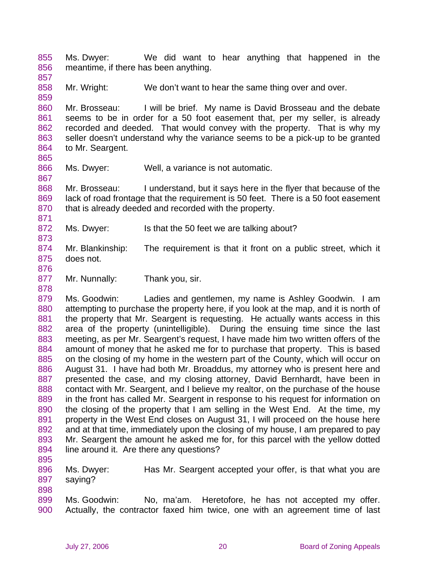855 856 Ms. Dwyer: We did want to hear anything that happened in the meantime, if there has been anything.

858 Mr. Wright: We don't want to hear the same thing over and over.

860 861 862 863 864 Mr. Brosseau: I will be brief. My name is David Brosseau and the debate seems to be in order for a 50 foot easement that, per my seller, is already recorded and deeded. That would convey with the property. That is why my seller doesn't understand why the variance seems to be a pick-up to be granted to Mr. Seargent.

865

867

871

873

857

859

866 Ms. Dwyer: Well, a variance is not automatic.

868 869 870 Mr. Brosseau: I understand, but it says here in the flyer that because of the lack of road frontage that the requirement is 50 feet. There is a 50 foot easement that is already deeded and recorded with the property.

872 Ms. Dwyer: Is that the 50 feet we are talking about?

874 875 Mr. Blankinship: The requirement is that it front on a public street, which it does not.

876 877

878

Mr. Nunnally: Thank you, sir.

879 880 881 882 883 884 885 886 887 888 889 890 891 892 893 894 Ms. Goodwin: Ladies and gentlemen, my name is Ashley Goodwin. I am attempting to purchase the property here, if you look at the map, and it is north of the property that Mr. Seargent is requesting. He actually wants access in this area of the property (unintelligible). During the ensuing time since the last meeting, as per Mr. Seargent's request, I have made him two written offers of the amount of money that he asked me for to purchase that property. This is based on the closing of my home in the western part of the County, which will occur on August 31. I have had both Mr. Broaddus, my attorney who is present here and presented the case, and my closing attorney, David Bernhardt, have been in contact with Mr. Seargent, and I believe my realtor, on the purchase of the house in the front has called Mr. Seargent in response to his request for information on the closing of the property that I am selling in the West End. At the time, my property in the West End closes on August 31, I will proceed on the house here and at that time, immediately upon the closing of my house, I am prepared to pay Mr. Seargent the amount he asked me for, for this parcel with the yellow dotted line around it. Are there any questions?

895

898

896 897 Ms. Dwyer: Has Mr. Seargent accepted your offer, is that what you are saying?

899 900 Ms. Goodwin: No, ma'am. Heretofore, he has not accepted my offer. Actually, the contractor faxed him twice, one with an agreement time of last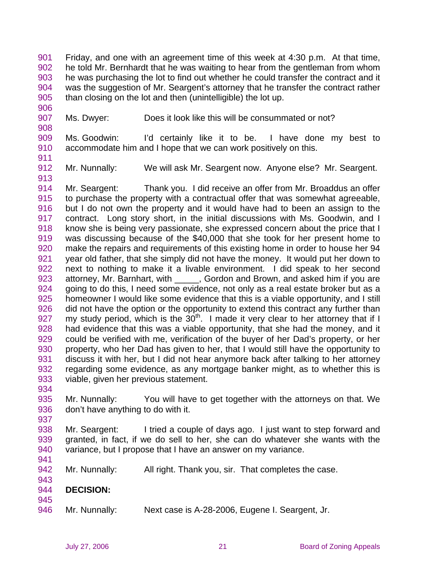901 902 903 904 905 Friday, and one with an agreement time of this week at 4:30 p.m. At that time, he told Mr. Bernhardt that he was waiting to hear from the gentleman from whom he was purchasing the lot to find out whether he could transfer the contract and it was the suggestion of Mr. Seargent's attorney that he transfer the contract rather than closing on the lot and then (unintelligible) the lot up.

907 Ms. Dwyer: Does it look like this will be consummated or not?

909 910 Ms. Goodwin: I'd certainly like it to be. I have done my best to accommodate him and I hope that we can work positively on this.

911

913

906

908

912 Mr. Nunnally: We will ask Mr. Seargent now. Anyone else? Mr. Seargent.

914 915 916 917 918 919 920 921 922 923 924 925 926 927 928 929 930 931 932 933 Mr. Seargent: Thank you. I did receive an offer from Mr. Broaddus an offer to purchase the property with a contractual offer that was somewhat agreeable, but I do not own the property and it would have had to been an assign to the contract. Long story short, in the initial discussions with Ms. Goodwin, and I know she is being very passionate, she expressed concern about the price that I was discussing because of the \$40,000 that she took for her present home to make the repairs and requirements of this existing home in order to house her 94 year old father, that she simply did not have the money. It would put her down to next to nothing to make it a livable environment. I did speak to her second attorney, Mr. Barnhart, with \_\_\_\_\_, Gordon and Brown, and asked him if you are going to do this, I need some evidence, not only as a real estate broker but as a homeowner I would like some evidence that this is a viable opportunity, and I still did not have the option or the opportunity to extend this contract any further than my study period, which is the  $30<sup>th</sup>$ . I made it very clear to her attorney that if I had evidence that this was a viable opportunity, that she had the money, and it could be verified with me, verification of the buyer of her Dad's property, or her property, who her Dad has given to her, that I would still have the opportunity to discuss it with her, but I did not hear anymore back after talking to her attorney regarding some evidence, as any mortgage banker might, as to whether this is viable, given her previous statement.

935 936 Mr. Nunnally: You will have to get together with the attorneys on that. We don't have anything to do with it.

- 938 939 940 Mr. Seargent: I tried a couple of days ago. I just want to step forward and granted, in fact, if we do sell to her, she can do whatever she wants with the variance, but I propose that I have an answer on my variance.
- 942 Mr. Nunnally: All right. Thank you, sir. That completes the case.
- 943 944 **DECISION:**
- 945

934

937

941

946 Mr. Nunnally: Next case is A-28-2006, Eugene I. Seargent, Jr.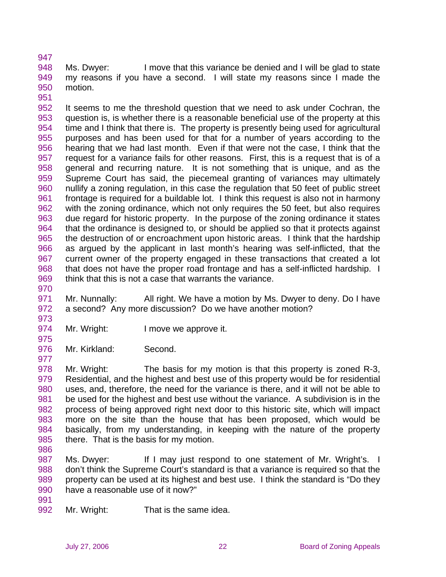948 949 950 951 Ms. Dwyer: I move that this variance be denied and I will be glad to state my reasons if you have a second. I will state my reasons since I made the motion.

952 953 954 955 956 957 958 959 960 961 962 963 964 965 966 967 968 969 It seems to me the threshold question that we need to ask under Cochran, the question is, is whether there is a reasonable beneficial use of the property at this time and I think that there is. The property is presently being used for agricultural purposes and has been used for that for a number of years according to the hearing that we had last month. Even if that were not the case, I think that the request for a variance fails for other reasons. First, this is a request that is of a general and recurring nature. It is not something that is unique, and as the Supreme Court has said, the piecemeal granting of variances may ultimately nullify a zoning regulation, in this case the regulation that 50 feet of public street frontage is required for a buildable lot. I think this request is also not in harmony with the zoning ordinance, which not only requires the 50 feet, but also requires due regard for historic property. In the purpose of the zoning ordinance it states that the ordinance is designed to, or should be applied so that it protects against the destruction of or encroachment upon historic areas. I think that the hardship as argued by the applicant in last month's hearing was self-inflicted, that the current owner of the property engaged in these transactions that created a lot that does not have the proper road frontage and has a self-inflicted hardship. I think that this is not a case that warrants the variance.

970

975

977

947

971 972 973 Mr. Nunnally: All right. We have a motion by Ms. Dwyer to deny. Do I have a second? Any more discussion? Do we have another motion?

- 974 Mr. Wright: I move we approve it.
- 976 Mr. Kirkland: Second.

978 979 980 981 982 983 984 985 Mr. Wright: The basis for my motion is that this property is zoned R-3, Residential, and the highest and best use of this property would be for residential uses, and, therefore, the need for the variance is there, and it will not be able to be used for the highest and best use without the variance. A subdivision is in the process of being approved right next door to this historic site, which will impact more on the site than the house that has been proposed, which would be basically, from my understanding, in keeping with the nature of the property there. That is the basis for my motion.

986

987 988 989 990 Ms. Dwyer: If I may just respond to one statement of Mr. Wright's. I don't think the Supreme Court's standard is that a variance is required so that the property can be used at its highest and best use. I think the standard is "Do they have a reasonable use of it now?"

- 991
- 992 Mr. Wright: That is the same idea.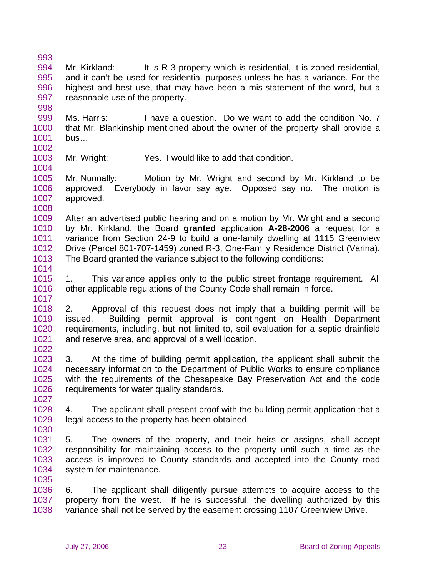993 994 995 996 997 998 Mr. Kirkland: It is R-3 property which is residential, it is zoned residential, and it can't be used for residential purposes unless he has a variance. For the highest and best use, that may have been a mis-statement of the word, but a reasonable use of the property.

999 1000 1001 Ms. Harris: I have a question. Do we want to add the condition No. 7 that Mr. Blankinship mentioned about the owner of the property shall provide a bus…

1002

1004

1003 Mr. Wright: Yes. I would like to add that condition.

1005 1006 1007 1008 Mr. Nunnally: Motion by Mr. Wright and second by Mr. Kirkland to be approved. Everybody in favor say aye. Opposed say no. The motion is approved.

1009 1010 1011 1012 1013 After an advertised public hearing and on a motion by Mr. Wright and a second by Mr. Kirkland, the Board **granted** application **A-28-2006** a request for a variance from Section 24-9 to build a one-family dwelling at 1115 Greenview Drive (Parcel 801-707-1459) zoned R-3, One-Family Residence District (Varina). The Board granted the variance subject to the following conditions:

1014

1017

1015 1016 1. This variance applies only to the public street frontage requirement. All other applicable regulations of the County Code shall remain in force.

1018 1019 1020 1021 1022 2. Approval of this request does not imply that a building permit will be issued. Building permit approval is contingent on Health Department requirements, including, but not limited to, soil evaluation for a septic drainfield and reserve area, and approval of a well location.

1023 1024 1025 1026 3. At the time of building permit application, the applicant shall submit the necessary information to the Department of Public Works to ensure compliance with the requirements of the Chesapeake Bay Preservation Act and the code requirements for water quality standards.

1027 1028

1035

1029 1030 4. The applicant shall present proof with the building permit application that a legal access to the property has been obtained.

1031 1032 1033 1034 5. The owners of the property, and their heirs or assigns, shall accept responsibility for maintaining access to the property until such a time as the access is improved to County standards and accepted into the County road system for maintenance.

1036 1037 1038 6. The applicant shall diligently pursue attempts to acquire access to the property from the west. If he is successful, the dwelling authorized by this variance shall not be served by the easement crossing 1107 Greenview Drive.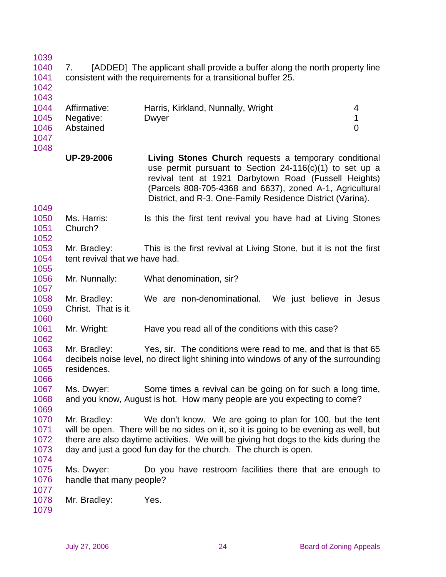| 1040<br>1041<br>1042                         | 7.                                             | [ADDED] The applicant shall provide a buffer along the north property line<br>consistent with the requirements for a transitional buffer 25.                                                                                                                                                                  |                          |
|----------------------------------------------|------------------------------------------------|---------------------------------------------------------------------------------------------------------------------------------------------------------------------------------------------------------------------------------------------------------------------------------------------------------------|--------------------------|
| 1043<br>1044<br>1045<br>1046<br>1047<br>1048 | Affirmative:<br>Negative:<br>Abstained         | Harris, Kirkland, Nunnally, Wright<br>Dwyer                                                                                                                                                                                                                                                                   | 4<br>1<br>$\overline{0}$ |
|                                              | <b>UP-29-2006</b>                              | Living Stones Church requests a temporary conditional<br>use permit pursuant to Section 24-116(c)(1) to set up a<br>revival tent at 1921 Darbytown Road (Fussell Heights)<br>(Parcels 808-705-4368 and 6637), zoned A-1, Agricultural<br>District, and R-3, One-Family Residence District (Varina).           |                          |
| 1049<br>1050<br>1051<br>1052                 | Ms. Harris:<br>Church?                         | Is this the first tent revival you have had at Living Stones                                                                                                                                                                                                                                                  |                          |
| 1053<br>1054<br>1055                         | Mr. Bradley:<br>tent revival that we have had. | This is the first revival at Living Stone, but it is not the first                                                                                                                                                                                                                                            |                          |
| 1056<br>1057                                 | Mr. Nunnally:                                  | What denomination, sir?                                                                                                                                                                                                                                                                                       |                          |
| 1058<br>1059<br>1060                         | Mr. Bradley:<br>Christ. That is it.            | We are non-denominational. We just believe in Jesus                                                                                                                                                                                                                                                           |                          |
| 1061<br>1062                                 | Mr. Wright:                                    | Have you read all of the conditions with this case?                                                                                                                                                                                                                                                           |                          |
| 1063<br>1064<br>1065<br>1066                 | Mr. Bradley:<br>residences.                    | Yes, sir. The conditions were read to me, and that is that 65<br>decibels noise level, no direct light shining into windows of any of the surrounding                                                                                                                                                         |                          |
| 1067<br>1068<br>1069                         | Ms. Dwyer:                                     | Some times a revival can be going on for such a long time,<br>and you know, August is hot. How many people are you expecting to come?                                                                                                                                                                         |                          |
| 1070<br>1071<br>1072<br>1073<br>1074         | Mr. Bradley:                                   | We don't know. We are going to plan for 100, but the tent<br>will be open. There will be no sides on it, so it is going to be evening as well, but<br>there are also daytime activities. We will be giving hot dogs to the kids during the<br>day and just a good fun day for the church. The church is open. |                          |
| 1075<br>1076<br>1077                         | Ms. Dwyer:<br>handle that many people?         | Do you have restroom facilities there that are enough to                                                                                                                                                                                                                                                      |                          |

1078 Mr. Bradley: Yes.

1079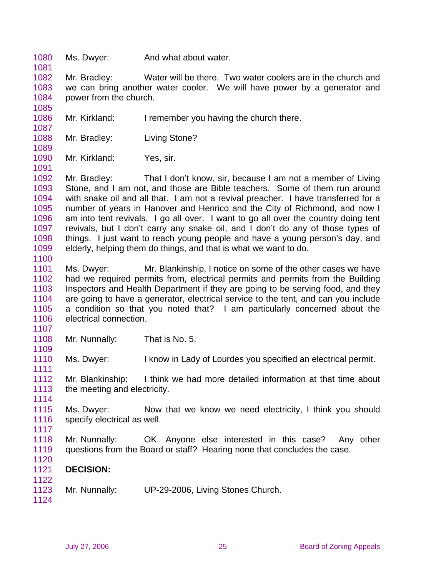1080 Ms. Dwyer: And what about water.

1082 1083 1084 Mr. Bradley: Water will be there. Two water coolers are in the church and we can bring another water cooler. We will have power by a generator and power from the church.

- 1086 Mr. Kirkland: I remember you having the church there.
- 1088 Mr. Bradley: Living Stone?
- 1090 Mr. Kirkland: Yes, sir.

1092 1093 1094 1095 1096 1097 1098 1099 Mr. Bradley: That I don't know, sir, because I am not a member of Living Stone, and I am not, and those are Bible teachers. Some of them run around with snake oil and all that. I am not a revival preacher. I have transferred for a number of years in Hanover and Henrico and the City of Richmond, and now I am into tent revivals. I go all over. I want to go all over the country doing tent revivals, but I don't carry any snake oil, and I don't do any of those types of things. I just want to reach young people and have a young person's day, and elderly, helping them do things, and that is what we want to do.

- 1101 1102 1103 1104 1105 1106 Ms. Dwyer: Mr. Blankinship, I notice on some of the other cases we have had we required permits from, electrical permits and permits from the Building Inspectors and Health Department if they are going to be serving food, and they are going to have a generator, electrical service to the tent, and can you include a condition so that you noted that? I am particularly concerned about the electrical connection.
- 1107 1108
	- Mr. Nunnally: That is No. 5.

1110 Ms. Dwyer: I know in Lady of Lourdes you specified an electrical permit.

1112 1113 Mr. Blankinship: I think we had more detailed information at that time about the meeting and electricity.

1114

1109

1111

1081

1085

1087

1089

1091

1100

1115 1116 1117 Ms. Dwyer: Now that we know we need electricity, I think you should specify electrical as well.

- 1118 1119 Mr. Nunnally: OK. Anyone else interested in this case? Any other questions from the Board or staff? Hearing none that concludes the case.
- 1120
- 1121 1122 **DECISION:**
- 1123 Mr. Nunnally: UP-29-2006, Living Stones Church.
- 1124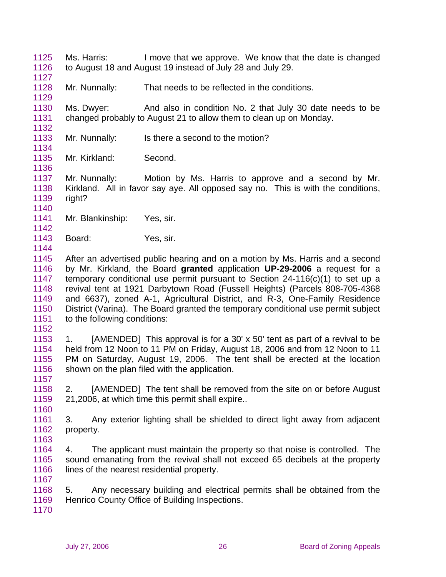1125 1126 Ms. Harris: I move that we approve. We know that the date is changed to August 18 and August 19 instead of July 28 and July 29.

1128 Mr. Nunnally: That needs to be reflected in the conditions.

1130 1131 Ms. Dwyer: And also in condition No. 2 that July 30 date needs to be changed probably to August 21 to allow them to clean up on Monday.

- 1133 Mr. Nunnally: Is there a second to the motion?
- 1135 Mr. Kirkland: Second.

1137 1138 1139 Mr. Nunnally: Motion by Ms. Harris to approve and a second by Mr. Kirkland. All in favor say aye. All opposed say no. This is with the conditions, right?

1140

1144

1127

1129

1132

1134

1136

- 1141 1142 Mr. Blankinship: Yes, sir.
- 1143 Board: Yes, sir.
- 1145 1146 1147 1148 1149 1150 1151 After an advertised public hearing and on a motion by Ms. Harris and a second by Mr. Kirkland, the Board **granted** application **UP-29-2006** a request for a temporary conditional use permit pursuant to Section 24-116(c)(1) to set up a revival tent at 1921 Darbytown Road (Fussell Heights) (Parcels 808-705-4368 and 6637), zoned A-1, Agricultural District, and R-3, One-Family Residence District (Varina). The Board granted the temporary conditional use permit subject to the following conditions:
- 1152

1157

1160

1163

1167

1153 1154 1155 1156 1. [AMENDED] This approval is for a 30' x 50' tent as part of a revival to be held from 12 Noon to 11 PM on Friday, August 18, 2006 and from 12 Noon to 11 PM on Saturday, August 19, 2006. The tent shall be erected at the location shown on the plan filed with the application.

1158 1159 2. [AMENDED] The tent shall be removed from the site on or before August 21,2006, at which time this permit shall expire..

- 1161 1162 3. Any exterior lighting shall be shielded to direct light away from adjacent property.
- 1164 1165 1166 4. The applicant must maintain the property so that noise is controlled. The sound emanating from the revival shall not exceed 65 decibels at the property lines of the nearest residential property.
- 1168 1169 5. Any necessary building and electrical permits shall be obtained from the Henrico County Office of Building Inspections.
- 1170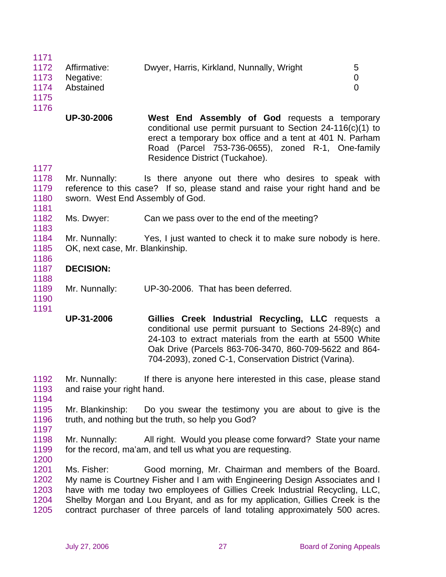| 1171 |              |                                           |   |
|------|--------------|-------------------------------------------|---|
| 1172 | Affirmative: | Dwyer, Harris, Kirkland, Nunnally, Wright | 5 |
| 1173 | Negative:    |                                           | 0 |
| 1174 | Abstained    |                                           |   |
| 1175 |              |                                           |   |
| 1176 |              |                                           |   |

**UP-30-2006 West End Assembly of God** requests a temporary conditional use permit pursuant to Section 24-116(c)(1) to erect a temporary box office and a tent at 401 N. Parham Road (Parcel 753-736-0655), zoned R-1, One-family Residence District (Tuckahoe).

1177

1181

1183

1186

1178 1179 1180 Mr. Nunnally: Is there anyone out there who desires to speak with reference to this case? If so, please stand and raise your right hand and be sworn. West End Assembly of God.

1182 Ms. Dwyer: Can we pass over to the end of the meeting?

1184 1185 Mr. Nunnally: Yes, I just wanted to check it to make sure nobody is here. OK, next case, Mr. Blankinship.

- 1187 **DECISION:**
- 1188
- 1189 Mr. Nunnally: UP-30-2006. That has been deferred.

1190 1191

> **UP-31-2006 Gillies Creek Industrial Recycling, LLC** requests a conditional use permit pursuant to Sections 24-89(c) and 24-103 to extract materials from the earth at 5500 White Oak Drive (Parcels 863-706-3470, 860-709-5622 and 864- 704-2093), zoned C-1, Conservation District (Varina).

1192 1193 Mr. Nunnally: If there is anyone here interested in this case, please stand and raise your right hand.

1194

1195 1196 1197 Mr. Blankinship: Do you swear the testimony you are about to give is the truth, and nothing but the truth, so help you God?

1198 1199 Mr. Nunnally: All right. Would you please come forward? State your name for the record, ma'am, and tell us what you are requesting.

1200

1201 1202 1203 1204 1205 Ms. Fisher: Good morning, Mr. Chairman and members of the Board. My name is Courtney Fisher and I am with Engineering Design Associates and I have with me today two employees of Gillies Creek Industrial Recycling, LLC, Shelby Morgan and Lou Bryant, and as for my application, Gillies Creek is the contract purchaser of three parcels of land totaling approximately 500 acres.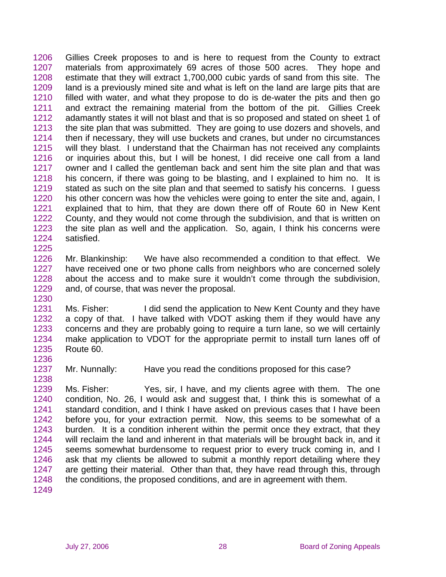1206 1207 1208 1209 1210 1211 1212 1213 1214 1215 1216 1217 1218 1219 1220 1221 1222 1223 1224 1225 Gillies Creek proposes to and is here to request from the County to extract materials from approximately 69 acres of those 500 acres. They hope and estimate that they will extract 1,700,000 cubic yards of sand from this site. The land is a previously mined site and what is left on the land are large pits that are filled with water, and what they propose to do is de-water the pits and then go and extract the remaining material from the bottom of the pit. Gillies Creek adamantly states it will not blast and that is so proposed and stated on sheet 1 of the site plan that was submitted. They are going to use dozers and shovels, and then if necessary, they will use buckets and cranes, but under no circumstances will they blast. I understand that the Chairman has not received any complaints or inquiries about this, but I will be honest, I did receive one call from a land owner and I called the gentleman back and sent him the site plan and that was his concern, if there was going to be blasting, and I explained to him no. It is stated as such on the site plan and that seemed to satisfy his concerns. I guess his other concern was how the vehicles were going to enter the site and, again, I explained that to him, that they are down there off of Route 60 in New Kent County, and they would not come through the subdivision, and that is written on the site plan as well and the application. So, again, I think his concerns were satisfied.

- 1226 1227 1228 1229 Mr. Blankinship: We have also recommended a condition to that effect. We have received one or two phone calls from neighbors who are concerned solely about the access and to make sure it wouldn't come through the subdivision, and, of course, that was never the proposal.
- 1231 1232 1233 1234 1235 Ms. Fisher: I did send the application to New Kent County and they have a copy of that. I have talked with VDOT asking them if they would have any concerns and they are probably going to require a turn lane, so we will certainly make application to VDOT for the appropriate permit to install turn lanes off of Route 60.
- 1237 Mr. Nunnally: Have you read the conditions proposed for this case?
- 1239 1240 1241 1242 1243 1244 1245 1246 1247 1248 Ms. Fisher: Yes, sir, I have, and my clients agree with them. The one condition, No. 26, I would ask and suggest that, I think this is somewhat of a standard condition, and I think I have asked on previous cases that I have been before you, for your extraction permit. Now, this seems to be somewhat of a burden. It is a condition inherent within the permit once they extract, that they will reclaim the land and inherent in that materials will be brought back in, and it seems somewhat burdensome to request prior to every truck coming in, and I ask that my clients be allowed to submit a monthly report detailing where they are getting their material. Other than that, they have read through this, through the conditions, the proposed conditions, and are in agreement with them.

1230

1236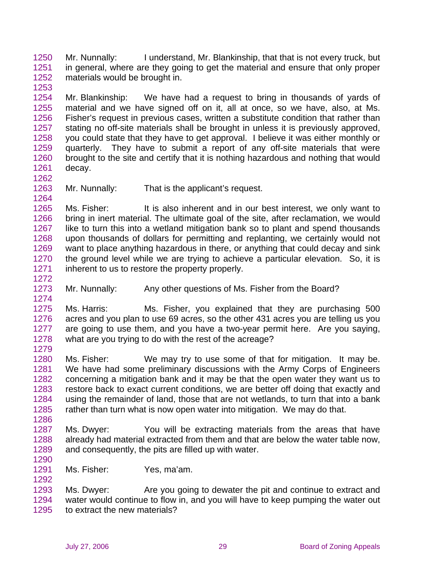1250 1251 1252 Mr. Nunnally: I understand, Mr. Blankinship, that that is not every truck, but in general, where are they going to get the material and ensure that only proper materials would be brought in.

1254 1255 1256 1257 1258 1259 1260 1261 Mr. Blankinship: We have had a request to bring in thousands of yards of material and we have signed off on it, all at once, so we have, also, at Ms. Fisher's request in previous cases, written a substitute condition that rather than stating no off-site materials shall be brought in unless it is previously approved, you could state that they have to get approval. I believe it was either monthly or quarterly. They have to submit a report of any off-site materials that were brought to the site and certify that it is nothing hazardous and nothing that would decay.

1263 Mr. Nunnally: That is the applicant's request.

1265 1266 1267 1268 1269 1270 1271 Ms. Fisher: It is also inherent and in our best interest, we only want to bring in inert material. The ultimate goal of the site, after reclamation, we would like to turn this into a wetland mitigation bank so to plant and spend thousands upon thousands of dollars for permitting and replanting, we certainly would not want to place anything hazardous in there, or anything that could decay and sink the ground level while we are trying to achieve a particular elevation. So, it is inherent to us to restore the property properly.

1273 Mr. Nunnally: Any other questions of Ms. Fisher from the Board?

1275 1276 1277 1278 1279 Ms. Harris: Ms. Fisher, you explained that they are purchasing 500 acres and you plan to use 69 acres, so the other 431 acres you are telling us you are going to use them, and you have a two-year permit here. Are you saying, what are you trying to do with the rest of the acreage?

1280 1281 1282 1283 1284 1285 Ms. Fisher: We may try to use some of that for mitigation. It may be. We have had some preliminary discussions with the Army Corps of Engineers concerning a mitigation bank and it may be that the open water they want us to restore back to exact current conditions, we are better off doing that exactly and using the remainder of land, those that are not wetlands, to turn that into a bank rather than turn what is now open water into mitigation. We may do that.

1287 1288 1289 Ms. Dwyer: You will be extracting materials from the areas that have already had material extracted from them and that are below the water table now, and consequently, the pits are filled up with water.

1290 1291

1292

1286

1253

1262

1264

1272

1274

Ms. Fisher: Yes, ma'am.

1293 1294 1295 Ms. Dwyer: Are you going to dewater the pit and continue to extract and water would continue to flow in, and you will have to keep pumping the water out to extract the new materials?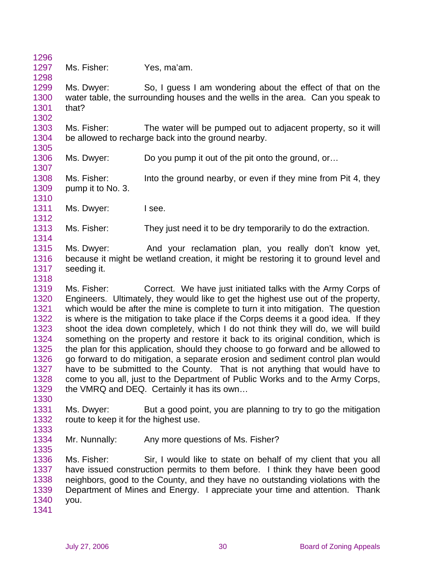1296 1297 1298 1299 1300 1301 1302 1303 1304 1305 1306 1307 1308 1309 1310 1311 1312 1313 1314 1315 1316 1317 1318 1319 1320 1321 1322 1323 1324 1325 1326 1327 1328 1329 1330 1331 1332 1333 1334 1335 1336 1337 1338 1339 1340 1341 Ms. Fisher: Yes, ma'am. Ms. Dwyer: So, I guess I am wondering about the effect of that on the water table, the surrounding houses and the wells in the area. Can you speak to that? Ms. Fisher: The water will be pumped out to adjacent property, so it will be allowed to recharge back into the ground nearby. Ms. Dwyer: Do you pump it out of the pit onto the ground, or... Ms. Fisher: Into the ground nearby, or even if they mine from Pit 4, they pump it to No. 3. Ms. Dwyer: I see. Ms. Fisher: They just need it to be dry temporarily to do the extraction. Ms. Dwyer: And your reclamation plan, you really don't know yet, because it might be wetland creation, it might be restoring it to ground level and seeding it. Ms. Fisher: Correct. We have just initiated talks with the Army Corps of Engineers. Ultimately, they would like to get the highest use out of the property, which would be after the mine is complete to turn it into mitigation. The question is where is the mitigation to take place if the Corps deems it a good idea. If they shoot the idea down completely, which I do not think they will do, we will build something on the property and restore it back to its original condition, which is the plan for this application, should they choose to go forward and be allowed to go forward to do mitigation, a separate erosion and sediment control plan would have to be submitted to the County. That is not anything that would have to come to you all, just to the Department of Public Works and to the Army Corps, the VMRQ and DEQ. Certainly it has its own… Ms. Dwyer: But a good point, you are planning to try to go the mitigation route to keep it for the highest use. Mr. Nunnally: Any more questions of Ms. Fisher? Ms. Fisher: Sir, I would like to state on behalf of my client that you all have issued construction permits to them before. I think they have been good neighbors, good to the County, and they have no outstanding violations with the Department of Mines and Energy. I appreciate your time and attention. Thank you.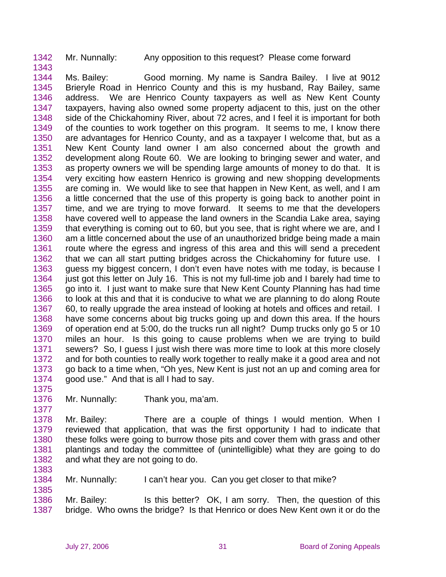1342 Mr. Nunnally: Any opposition to this request? Please come forward

1344 1345 1346 1347 1348 1349 1350 1351 1352 1353 1354 1355 1356 1357 1358 1359 1360 1361 1362 1363 1364 1365 1366 1367 1368 1369 1370 1371 1372 1373 1374 Ms. Bailey: Good morning. My name is Sandra Bailey. I live at 9012 Brieryle Road in Henrico County and this is my husband, Ray Bailey, same address. We are Henrico County taxpayers as well as New Kent County taxpayers, having also owned some property adjacent to this, just on the other side of the Chickahominy River, about 72 acres, and I feel it is important for both of the counties to work together on this program. It seems to me, I know there are advantages for Henrico County, and as a taxpayer I welcome that, but as a New Kent County land owner I am also concerned about the growth and development along Route 60. We are looking to bringing sewer and water, and as property owners we will be spending large amounts of money to do that. It is very exciting how eastern Henrico is growing and new shopping developments are coming in. We would like to see that happen in New Kent, as well, and I am a little concerned that the use of this property is going back to another point in time, and we are trying to move forward. It seems to me that the developers have covered well to appease the land owners in the Scandia Lake area, saying that everything is coming out to 60, but you see, that is right where we are, and I am a little concerned about the use of an unauthorized bridge being made a main route where the egress and ingress of this area and this will send a precedent that we can all start putting bridges across the Chickahominy for future use. I guess my biggest concern, I don't even have notes with me today, is because I just got this letter on July 16. This is not my full-time job and I barely had time to go into it. I just want to make sure that New Kent County Planning has had time to look at this and that it is conducive to what we are planning to do along Route 60, to really upgrade the area instead of looking at hotels and offices and retail. I have some concerns about big trucks going up and down this area. If the hours of operation end at 5:00, do the trucks run all night? Dump trucks only go 5 or 10 miles an hour. Is this going to cause problems when we are trying to build sewers? So, I guess I just wish there was more time to look at this more closely and for both counties to really work together to really make it a good area and not go back to a time when, "Oh yes, New Kent is just not an up and coming area for good use." And that is all I had to say.

1375

1377

1383

1385

1343

1376 Mr. Nunnally: Thank you, ma'am.

1378 1379 1380 1381 1382 Mr. Bailey: There are a couple of things I would mention. When I reviewed that application, that was the first opportunity I had to indicate that these folks were going to burrow those pits and cover them with grass and other plantings and today the committee of (unintelligible) what they are going to do and what they are not going to do.

1384 Mr. Nunnally: I can't hear you. Can you get closer to that mike?

1386 1387 Mr. Bailey: Is this better? OK, I am sorry. Then, the question of this bridge. Who owns the bridge? Is that Henrico or does New Kent own it or do the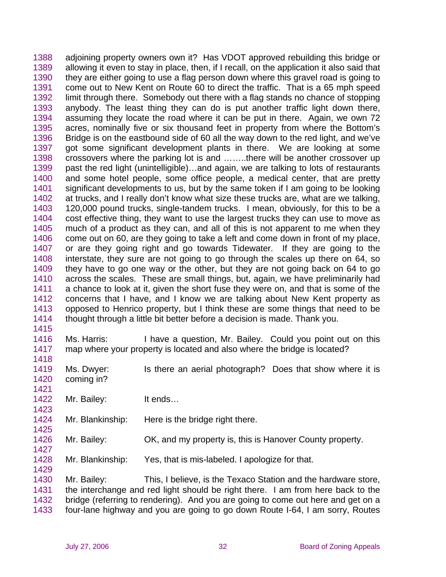1388 1389 1390 1391 1392 1393 1394 1395 1396 1397 1398 1399 1400 1401 1402 1403 1404 1405 1406 1407 1408 1409 1410 1411 1412 1413 1414 adjoining property owners own it? Has VDOT approved rebuilding this bridge or allowing it even to stay in place, then, if I recall, on the application it also said that they are either going to use a flag person down where this gravel road is going to come out to New Kent on Route 60 to direct the traffic. That is a 65 mph speed limit through there. Somebody out there with a flag stands no chance of stopping anybody. The least thing they can do is put another traffic light down there, assuming they locate the road where it can be put in there. Again, we own 72 acres, nominally five or six thousand feet in property from where the Bottom's Bridge is on the eastbound side of 60 all the way down to the red light, and we've got some significant development plants in there. We are looking at some crossovers where the parking lot is and ……..there will be another crossover up past the red light (unintelligible)…and again, we are talking to lots of restaurants and some hotel people, some office people, a medical center, that are pretty significant developments to us, but by the same token if I am going to be looking at trucks, and I really don't know what size these trucks are, what are we talking, 120,000 pound trucks, single-tandem trucks. I mean, obviously, for this to be a cost effective thing, they want to use the largest trucks they can use to move as much of a product as they can, and all of this is not apparent to me when they come out on 60, are they going to take a left and come down in front of my place, or are they going right and go towards Tidewater. If they are going to the interstate, they sure are not going to go through the scales up there on 64, so they have to go one way or the other, but they are not going back on 64 to go across the scales. These are small things, but, again, we have preliminarily had a chance to look at it, given the short fuse they were on, and that is some of the concerns that I have, and I know we are talking about New Kent property as opposed to Henrico property, but I think these are some things that need to be thought through a little bit better before a decision is made. Thank you.

1415

1418

1421

1423

1425

1427

1429

1416 1417 Ms. Harris: I have a question, Mr. Bailey. Could you point out on this map where your property is located and also where the bridge is located?

- 1419 1420 Ms. Dwyer: Is there an aerial photograph? Does that show where it is coming in?
- 1422 Mr. Bailey: It ends...
- 1424 Mr. Blankinship: Here is the bridge right there.
- 1426 Mr. Bailey: OK, and my property is, this is Hanover County property.
- 1428 Mr. Blankinship: Yes, that is mis-labeled. I apologize for that.

1430 1431 1432 1433 Mr. Bailey: This, I believe, is the Texaco Station and the hardware store, the interchange and red light should be right there. I am from here back to the bridge (referring to rendering). And you are going to come out here and get on a four-lane highway and you are going to go down Route I-64, I am sorry, Routes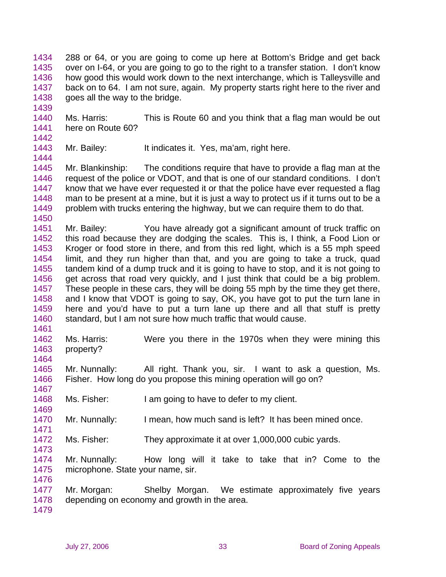1434 1435 1436 1437 1438 288 or 64, or you are going to come up here at Bottom's Bridge and get back over on I-64, or you are going to go to the right to a transfer station. I don't know how good this would work down to the next interchange, which is Talleysville and back on to 64. I am not sure, again. My property starts right here to the river and goes all the way to the bridge.

1440 1441 Ms. Harris: This is Route 60 and you think that a flag man would be out here on Route 60?

1442 1443

1444

1461

1464

1467

1469

1471

1473

1476

1439

Mr. Bailey: It indicates it. Yes, ma'am, right here.

1445 1446 1447 1448 1449 1450 Mr. Blankinship: The conditions require that have to provide a flag man at the request of the police or VDOT, and that is one of our standard conditions. I don't know that we have ever requested it or that the police have ever requested a flag man to be present at a mine, but it is just a way to protect us if it turns out to be a problem with trucks entering the highway, but we can require them to do that.

1451 1452 1453 1454 1455 1456 1457 1458 1459 1460 Mr. Bailey: You have already got a significant amount of truck traffic on this road because they are dodging the scales. This is, I think, a Food Lion or Kroger or food store in there, and from this red light, which is a 55 mph speed limit, and they run higher than that, and you are going to take a truck, quad tandem kind of a dump truck and it is going to have to stop, and it is not going to get across that road very quickly, and I just think that could be a big problem. These people in these cars, they will be doing 55 mph by the time they get there, and I know that VDOT is going to say, OK, you have got to put the turn lane in here and you'd have to put a turn lane up there and all that stuff is pretty standard, but I am not sure how much traffic that would cause.

1462 1463 Ms. Harris: Were you there in the 1970s when they were mining this property?

1465 1466 Mr. Nunnally: All right. Thank you, sir. I want to ask a question, Ms. Fisher. How long do you propose this mining operation will go on?

1468 Ms. Fisher: I am going to have to defer to my client.

1470 Mr. Nunnally: I mean, how much sand is left? It has been mined once.

1472 Ms. Fisher: They approximate it at over 1,000,000 cubic yards.

1474 1475 Mr. Nunnally: How long will it take to take that in? Come to the microphone. State your name, sir.

1477 1478 Mr. Morgan: Shelby Morgan. We estimate approximately five years depending on economy and growth in the area.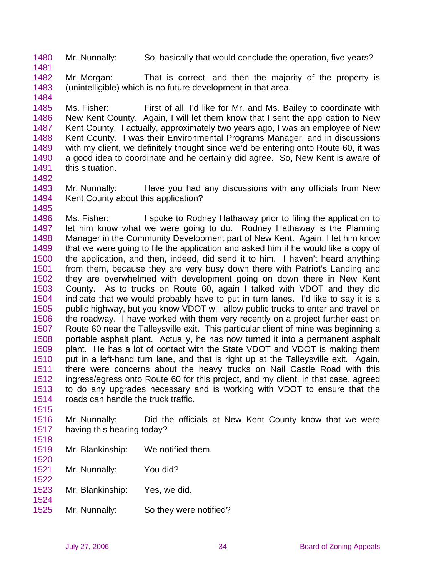1480 Mr. Nunnally: So, basically that would conclude the operation, five years?

1482 1483 Mr. Morgan: That is correct, and then the majority of the property is (unintelligible) which is no future development in that area.

1484

1492

1495

1481

1485 1486 1487 1488 1489 1490 1491 Ms. Fisher: First of all, I'd like for Mr. and Ms. Bailey to coordinate with New Kent County. Again, I will let them know that I sent the application to New Kent County. I actually, approximately two years ago, I was an employee of New Kent County. I was their Environmental Programs Manager, and in discussions with my client, we definitely thought since we'd be entering onto Route 60, it was a good idea to coordinate and he certainly did agree. So, New Kent is aware of this situation.

1493 1494 Mr. Nunnally: Have you had any discussions with any officials from New Kent County about this application?

1496 1497 1498 1499 1500 1501 1502 1503 1504 1505 1506 1507 1508 1509 1510 1511 1512 1513 1514 Ms. Fisher: I spoke to Rodney Hathaway prior to filing the application to let him know what we were going to do. Rodney Hathaway is the Planning Manager in the Community Development part of New Kent. Again, I let him know that we were going to file the application and asked him if he would like a copy of the application, and then, indeed, did send it to him. I haven't heard anything from them, because they are very busy down there with Patriot's Landing and they are overwhelmed with development going on down there in New Kent County. As to trucks on Route 60, again I talked with VDOT and they did indicate that we would probably have to put in turn lanes. I'd like to say it is a public highway, but you know VDOT will allow public trucks to enter and travel on the roadway. I have worked with them very recently on a project further east on Route 60 near the Talleysville exit. This particular client of mine was beginning a portable asphalt plant. Actually, he has now turned it into a permanent asphalt plant. He has a lot of contact with the State VDOT and VDOT is making them put in a left-hand turn lane, and that is right up at the Talleysville exit. Again, there were concerns about the heavy trucks on Nail Castle Road with this ingress/egress onto Route 60 for this project, and my client, in that case, agreed to do any upgrades necessary and is working with VDOT to ensure that the roads can handle the truck traffic.

1515

1518

1520

1522

1524

1516 1517 Mr. Nunnally: Did the officials at New Kent County know that we were having this hearing today?

- 1519 Mr. Blankinship: We notified them.
- 1521 Mr. Nunnally: You did?
- 1523 Mr. Blankinship: Yes, we did.
- 1525 Mr. Nunnally: So they were notified?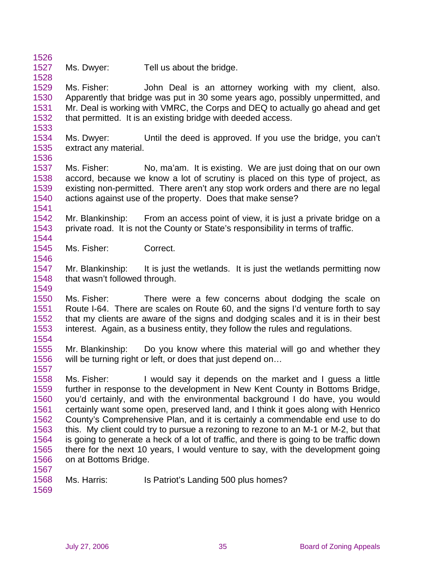1527 Ms. Dwyer: Tell us about the bridge.

1529 1530 1531 1532 Ms. Fisher: John Deal is an attorney working with my client, also. Apparently that bridge was put in 30 some years ago, possibly unpermitted, and Mr. Deal is working with VMRC, the Corps and DEQ to actually go ahead and get that permitted. It is an existing bridge with deeded access.

- 1534 1535 Ms. Dwyer: Until the deed is approved. If you use the bridge, you can't extract any material.
- 1536

1541

1546

1554

1557

1533

1526

1528

- 1537 1538 1539 1540 Ms. Fisher: No, ma'am. It is existing. We are just doing that on our own accord, because we know a lot of scrutiny is placed on this type of project, as existing non-permitted. There aren't any stop work orders and there are no legal actions against use of the property. Does that make sense?
- 1542 1543 1544 Mr. Blankinship: From an access point of view, it is just a private bridge on a private road. It is not the County or State's responsibility in terms of traffic.
- 1545 Ms. Fisher: Correct.
- 1547 1548 1549 Mr. Blankinship: It is just the wetlands. It is just the wetlands permitting now that wasn't followed through.
- 1550 1551 1552 1553 Ms. Fisher: There were a few concerns about dodging the scale on Route I-64. There are scales on Route 60, and the signs I'd venture forth to say that my clients are aware of the signs and dodging scales and it is in their best interest. Again, as a business entity, they follow the rules and regulations.
- 1555 1556 Mr. Blankinship: Do you know where this material will go and whether they will be turning right or left, or does that just depend on…
- 1558 1559 1560 1561 1562 1563 1564 1565 1566 Ms. Fisher: I would say it depends on the market and I guess a little further in response to the development in New Kent County in Bottoms Bridge, you'd certainly, and with the environmental background I do have, you would certainly want some open, preserved land, and I think it goes along with Henrico County's Comprehensive Plan, and it is certainly a commendable end use to do this. My client could try to pursue a rezoning to rezone to an M-1 or M-2, but that is going to generate a heck of a lot of traffic, and there is going to be traffic down there for the next 10 years, I would venture to say, with the development going on at Bottoms Bridge.

1567

Ms. Harris: Is Patriot's Landing 500 plus homes?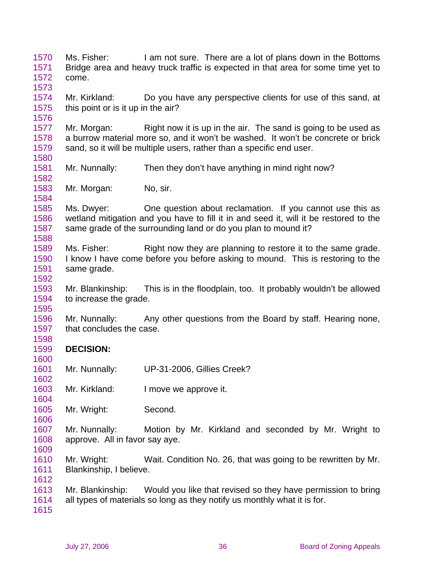1570 1571 1572 1573 1574 1575 1576 1577 1578 1579 1580 1581 1582 1583 1584 1585 1586 1587 1588 1589 1590 1591 1592 1593 1594 1595 1596 1597 1598 1599 1600 1601 1602 1603 1604 1605 1606 1607 1608 1609 1610 1611 1612 1613 1614 1615 Ms. Fisher: I am not sure. There are a lot of plans down in the Bottoms Bridge area and heavy truck traffic is expected in that area for some time yet to come. Mr. Kirkland: Do you have any perspective clients for use of this sand, at this point or is it up in the air? Mr. Morgan: Right now it is up in the air. The sand is going to be used as a burrow material more so, and it won't be washed. It won't be concrete or brick sand, so it will be multiple users, rather than a specific end user. Mr. Nunnally: Then they don't have anything in mind right now? Mr. Morgan: No, sir. Ms. Dwyer: One question about reclamation. If you cannot use this as wetland mitigation and you have to fill it in and seed it, will it be restored to the same grade of the surrounding land or do you plan to mound it? Ms. Fisher: Right now they are planning to restore it to the same grade. I know I have come before you before asking to mound. This is restoring to the same grade. Mr. Blankinship: This is in the floodplain, too. It probably wouldn't be allowed to increase the grade. Mr. Nunnally: Any other questions from the Board by staff. Hearing none, that concludes the case. **DECISION:**  Mr. Nunnally: UP-31-2006, Gillies Creek? Mr. Kirkland: I move we approve it. Mr. Wright: Second. Mr. Nunnally: Motion by Mr. Kirkland and seconded by Mr. Wright to approve. All in favor say aye. Mr. Wright: Wait. Condition No. 26, that was going to be rewritten by Mr. Blankinship, I believe. Mr. Blankinship: Would you like that revised so they have permission to bring all types of materials so long as they notify us monthly what it is for.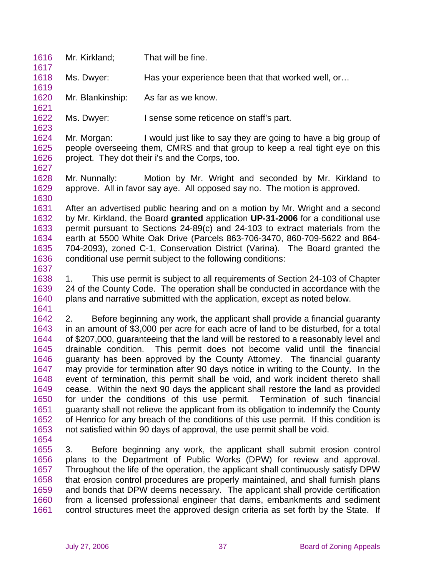- 1616 Mr. Kirkland; That will be fine.
- 1618 Ms. Dwyer: Has your experience been that that worked well, or…
- 1620 Mr. Blankinship: As far as we know.
- 1622 Ms. Dwyer: I sense some reticence on staff's part.

1624 1625 1626 Mr. Morgan: I would just like to say they are going to have a big group of people overseeing them, CMRS and that group to keep a real tight eye on this project. They dot their i's and the Corps, too.

1628 1629 1630 Mr. Nunnally: Motion by Mr. Wright and seconded by Mr. Kirkland to approve. All in favor say aye. All opposed say no. The motion is approved.

1631 1632 1633 1634 1635 1636 After an advertised public hearing and on a motion by Mr. Wright and a second by Mr. Kirkland, the Board **granted** application **UP-31-2006** for a conditional use permit pursuant to Sections 24-89(c) and 24-103 to extract materials from the earth at 5500 White Oak Drive (Parcels 863-706-3470, 860-709-5622 and 864- 704-2093), zoned C-1, Conservation District (Varina). The Board granted the conditional use permit subject to the following conditions:

1637

1617

1619

1621

1623

1627

- 1638 1639 1640 1641 1. This use permit is subject to all requirements of Section 24-103 of Chapter 24 of the County Code. The operation shall be conducted in accordance with the plans and narrative submitted with the application, except as noted below.
- 1642 1643 1644 1645 1646 1647 1648 1649 1650 1651 1652 1653 2. Before beginning any work, the applicant shall provide a financial guaranty in an amount of \$3,000 per acre for each acre of land to be disturbed, for a total of \$207,000, guaranteeing that the land will be restored to a reasonably level and drainable condition. This permit does not become valid until the financial guaranty has been approved by the County Attorney. The financial guaranty may provide for termination after 90 days notice in writing to the County. In the event of termination, this permit shall be void, and work incident thereto shall cease. Within the next 90 days the applicant shall restore the land as provided for under the conditions of this use permit. Termination of such financial guaranty shall not relieve the applicant from its obligation to indemnify the County of Henrico for any breach of the conditions of this use permit. If this condition is not satisfied within 90 days of approval, the use permit shall be void.
- 1654

1655 1656 1657 1658 1659 1660 1661 3. Before beginning any work, the applicant shall submit erosion control plans to the Department of Public Works (DPW) for review and approval. Throughout the life of the operation, the applicant shall continuously satisfy DPW that erosion control procedures are properly maintained, and shall furnish plans and bonds that DPW deems necessary. The applicant shall provide certification from a licensed professional engineer that dams, embankments and sediment control structures meet the approved design criteria as set forth by the State. If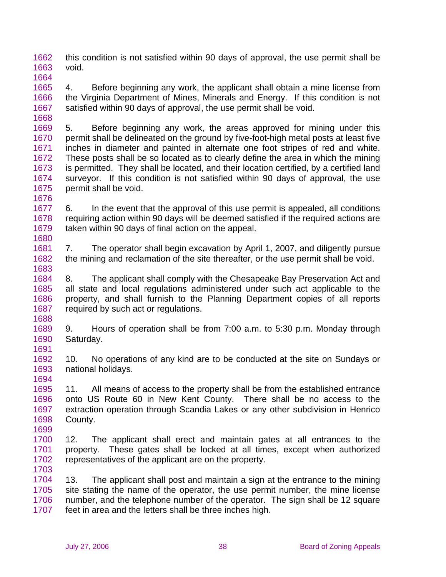1662 1663 1664 this condition is not satisfied within 90 days of approval, the use permit shall be void.

1665 1666 1667 1668 4. Before beginning any work, the applicant shall obtain a mine license from the Virginia Department of Mines, Minerals and Energy. If this condition is not satisfied within 90 days of approval, the use permit shall be void.

1669 1670 1671 1672 1673 1674 1675 5. Before beginning any work, the areas approved for mining under this permit shall be delineated on the ground by five-foot-high metal posts at least five inches in diameter and painted in alternate one foot stripes of red and white. These posts shall be so located as to clearly define the area in which the mining is permitted. They shall be located, and their location certified, by a certified land surveyor. If this condition is not satisfied within 90 days of approval, the use permit shall be void.

1677 1678 1679 1680 6. In the event that the approval of this use permit is appealed, all conditions requiring action within 90 days will be deemed satisfied if the required actions are taken within 90 days of final action on the appeal.

1681 1682 1683 7. The operator shall begin excavation by April 1, 2007, and diligently pursue the mining and reclamation of the site thereafter, or the use permit shall be void.

1684 1685 1686 1687 1688 8. The applicant shall comply with the Chesapeake Bay Preservation Act and all state and local regulations administered under such act applicable to the property, and shall furnish to the Planning Department copies of all reports required by such act or regulations.

1689 1690 1691 9. Hours of operation shall be from 7:00 a.m. to 5:30 p.m. Monday through Saturday.

1692 1693 10. No operations of any kind are to be conducted at the site on Sundays or national holidays.

1695 1696 1697 1698 11. All means of access to the property shall be from the established entrance onto US Route 60 in New Kent County. There shall be no access to the extraction operation through Scandia Lakes or any other subdivision in Henrico County.

1700 1701 1702 1703 12. The applicant shall erect and maintain gates at all entrances to the property. These gates shall be locked at all times, except when authorized representatives of the applicant are on the property.

1704 1705 1706 1707 13. The applicant shall post and maintain a sign at the entrance to the mining site stating the name of the operator, the use permit number, the mine license number, and the telephone number of the operator. The sign shall be 12 square feet in area and the letters shall be three inches high.

1676

1694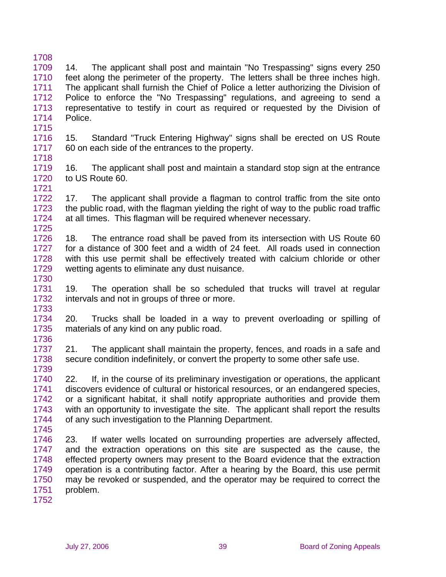1708 1709 1710 1711 1712 1713 1714 1715 14. The applicant shall post and maintain "No Trespassing" signs every 250 feet along the perimeter of the property. The letters shall be three inches high. The applicant shall furnish the Chief of Police a letter authorizing the Division of Police to enforce the "No Trespassing" regulations, and agreeing to send a representative to testify in court as required or requested by the Division of Police.

1716 1717 15. Standard "Truck Entering Highway" signs shall be erected on US Route 60 on each side of the entrances to the property.

1718

1730

1733

1719 1720 1721 16. The applicant shall post and maintain a standard stop sign at the entrance to US Route 60.

1722 1723 1724 1725 17. The applicant shall provide a flagman to control traffic from the site onto the public road, with the flagman yielding the right of way to the public road traffic at all times. This flagman will be required whenever necessary.

1726 1727 1728 1729 18. The entrance road shall be paved from its intersection with US Route 60 for a distance of 300 feet and a width of 24 feet. All roads used in connection with this use permit shall be effectively treated with calcium chloride or other wetting agents to eliminate any dust nuisance.

1731 1732 19. The operation shall be so scheduled that trucks will travel at regular intervals and not in groups of three or more.

1734 1735 1736 20. Trucks shall be loaded in a way to prevent overloading or spilling of materials of any kind on any public road.

1737 1738 1739 21. The applicant shall maintain the property, fences, and roads in a safe and secure condition indefinitely, or convert the property to some other safe use.

1740 1741 1742 1743 1744 1745 22. If, in the course of its preliminary investigation or operations, the applicant discovers evidence of cultural or historical resources, or an endangered species, or a significant habitat, it shall notify appropriate authorities and provide them with an opportunity to investigate the site. The applicant shall report the results of any such investigation to the Planning Department.

1746 1747 1748 1749 1750 1751 23. If water wells located on surrounding properties are adversely affected, and the extraction operations on this site are suspected as the cause, the effected property owners may present to the Board evidence that the extraction operation is a contributing factor. After a hearing by the Board, this use permit may be revoked or suspended, and the operator may be required to correct the problem.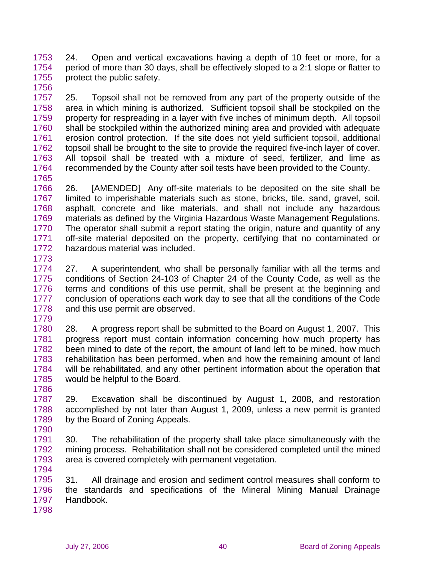1753 1754 1755 1756 24. Open and vertical excavations having a depth of 10 feet or more, for a period of more than 30 days, shall be effectively sloped to a 2:1 slope or flatter to protect the public safety.

1757 1758 1759 1760 1761 1762 1763 1764 1765 25. Topsoil shall not be removed from any part of the property outside of the area in which mining is authorized. Sufficient topsoil shall be stockpiled on the property for respreading in a layer with five inches of minimum depth. All topsoil shall be stockpiled within the authorized mining area and provided with adequate erosion control protection. If the site does not yield sufficient topsoil, additional topsoil shall be brought to the site to provide the required five-inch layer of cover. All topsoil shall be treated with a mixture of seed, fertilizer, and lime as recommended by the County after soil tests have been provided to the County.

1766 1767 1768 1769 1770 1771 1772 1773 26. [AMENDED] Any off-site materials to be deposited on the site shall be limited to imperishable materials such as stone, bricks, tile, sand, gravel, soil, asphalt, concrete and like materials, and shall not include any hazardous materials as defined by the Virginia Hazardous Waste Management Regulations. The operator shall submit a report stating the origin, nature and quantity of any off-site material deposited on the property, certifying that no contaminated or hazardous material was included.

1774 1775 1776 1777 1778 27. A superintendent, who shall be personally familiar with all the terms and conditions of Section 24-103 of Chapter 24 of the County Code, as well as the terms and conditions of this use permit, shall be present at the beginning and conclusion of operations each work day to see that all the conditions of the Code and this use permit are observed.

1780 1781 1782 1783 1784 1785 28. A progress report shall be submitted to the Board on August 1, 2007. This progress report must contain information concerning how much property has been mined to date of the report, the amount of land left to be mined, how much rehabilitation has been performed, when and how the remaining amount of land will be rehabilitated, and any other pertinent information about the operation that would be helpful to the Board.

1786 1787 1788 1789 29. Excavation shall be discontinued by August 1, 2008, and restoration accomplished by not later than August 1, 2009, unless a new permit is granted by the Board of Zoning Appeals.

1791 1792 1793 30. The rehabilitation of the property shall take place simultaneously with the mining process. Rehabilitation shall not be considered completed until the mined area is covered completely with permanent vegetation.

1795 1796 1797 31. All drainage and erosion and sediment control measures shall conform to the standards and specifications of the Mineral Mining Manual Drainage Handbook.

1798

1790

1794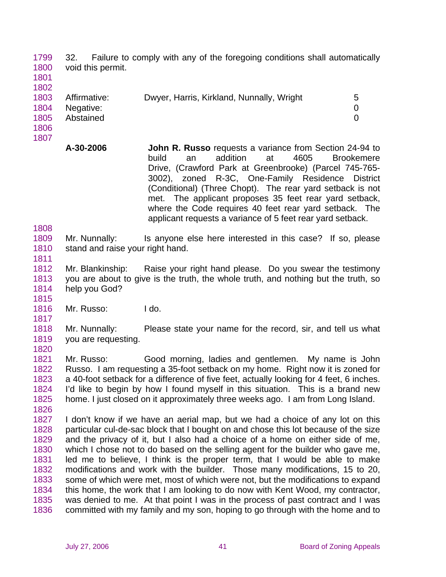1799 1800 32. Failure to comply with any of the foregoing conditions shall automatically void this permit.

1801 1802

| 100Z |              |                                           |   |
|------|--------------|-------------------------------------------|---|
| 1803 | Affirmative: | Dwyer, Harris, Kirkland, Nunnally, Wright | 5 |
| 1804 | Negative:    |                                           |   |
| 1805 | Abstained    |                                           |   |
| 1806 |              |                                           |   |

- 1807
- **A-30-2006 John R. Russo** requests a variance from Section 24-94 to build an addition at 4605 Brookemere Drive, (Crawford Park at Greenbrooke) (Parcel 745-765- 3002), zoned R-3C, One-Family Residence District (Conditional) (Three Chopt). The rear yard setback is not met. The applicant proposes 35 feet rear yard setback, where the Code requires 40 feet rear yard setback. The applicant requests a variance of 5 feet rear yard setback.

1808

1811

1815

1826

1809 1810 Mr. Nunnally: Is anyone else here interested in this case? If so, please stand and raise your right hand.

1812 1813 1814 Mr. Blankinship: Raise your right hand please. Do you swear the testimony you are about to give is the truth, the whole truth, and nothing but the truth, so help you God?

1816 1817 Mr. Russo: I do.

1818 1819 1820 Mr. Nunnally: Please state your name for the record, sir, and tell us what you are requesting.

1821 1822 1823 1824 1825 Mr. Russo: Good morning, ladies and gentlemen. My name is John Russo. I am requesting a 35-foot setback on my home. Right now it is zoned for a 40-foot setback for a difference of five feet, actually looking for 4 feet, 6 inches. I'd like to begin by how I found myself in this situation. This is a brand new home. I just closed on it approximately three weeks ago. I am from Long Island.

1827 1828 1829 1830 1831 1832 1833 1834 1835 1836 I don't know if we have an aerial map, but we had a choice of any lot on this particular cul-de-sac block that I bought on and chose this lot because of the size and the privacy of it, but I also had a choice of a home on either side of me, which I chose not to do based on the selling agent for the builder who gave me, led me to believe, I think is the proper term, that I would be able to make modifications and work with the builder. Those many modifications, 15 to 20, some of which were met, most of which were not, but the modifications to expand this home, the work that I am looking to do now with Kent Wood, my contractor, was denied to me. At that point I was in the process of past contract and I was committed with my family and my son, hoping to go through with the home and to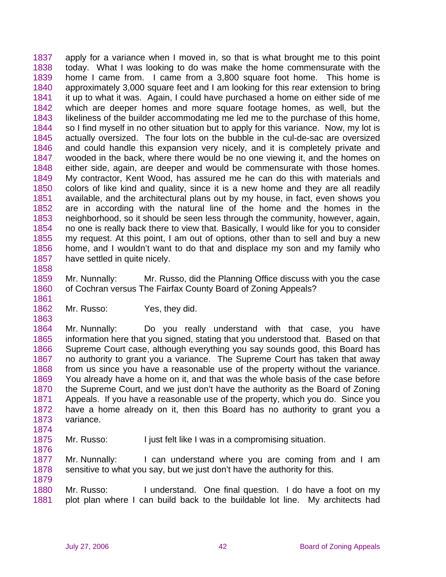1837 1838 1839 1840 1841 1842 1843 1844 1845 1846 1847 1848 1849 1850 1851 1852 1853 1854 1855 1856 1857 apply for a variance when I moved in, so that is what brought me to this point today. What I was looking to do was make the home commensurate with the home I came from. I came from a 3,800 square foot home. This home is approximately 3,000 square feet and I am looking for this rear extension to bring it up to what it was. Again, I could have purchased a home on either side of me which are deeper homes and more square footage homes, as well, but the likeliness of the builder accommodating me led me to the purchase of this home, so I find myself in no other situation but to apply for this variance. Now, my lot is actually oversized. The four lots on the bubble in the cul-de-sac are oversized and could handle this expansion very nicely, and it is completely private and wooded in the back, where there would be no one viewing it, and the homes on either side, again, are deeper and would be commensurate with those homes. My contractor, Kent Wood, has assured me he can do this with materials and colors of like kind and quality, since it is a new home and they are all readily available, and the architectural plans out by my house, in fact, even shows you are in according with the natural line of the home and the homes in the neighborhood, so it should be seen less through the community, however, again, no one is really back there to view that. Basically, I would like for you to consider my request. At this point, I am out of options, other than to sell and buy a new home, and I wouldn't want to do that and displace my son and my family who have settled in quite nicely.

1858

1861

1863

1876

1879

1859 1860 Mr. Nunnally: Mr. Russo, did the Planning Office discuss with you the case of Cochran versus The Fairfax County Board of Zoning Appeals?

1862 Mr. Russo: Yes, they did.

1864 1865 1866 1867 1868 1869 1870 1871 1872 1873 1874 Mr. Nunnally: Do you really understand with that case, you have information here that you signed, stating that you understood that. Based on that Supreme Court case, although everything you say sounds good, this Board has no authority to grant you a variance. The Supreme Court has taken that away from us since you have a reasonable use of the property without the variance. You already have a home on it, and that was the whole basis of the case before the Supreme Court, and we just don't have the authority as the Board of Zoning Appeals. If you have a reasonable use of the property, which you do. Since you have a home already on it, then this Board has no authority to grant you a variance.

1875 Mr. Russo: I just felt like I was in a compromising situation.

1877 1878 Mr. Nunnally: I can understand where you are coming from and I am sensitive to what you say, but we just don't have the authority for this.

1880 1881 Mr. Russo: I understand. One final question. I do have a foot on my plot plan where I can build back to the buildable lot line. My architects had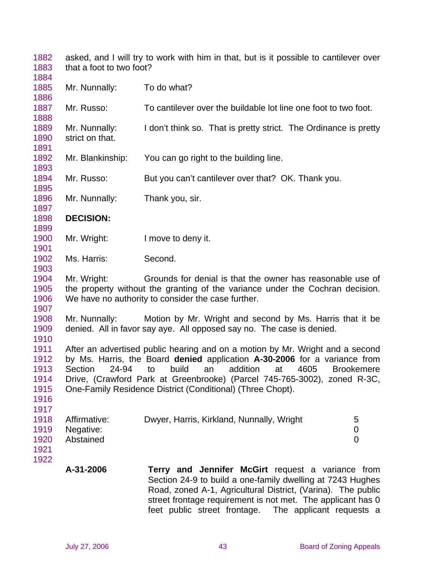1882 1883 asked, and I will try to work with him in that, but is it possible to cantilever over that a foot to two foot?

| 1885<br>1886 | Mr. Nunnally:    | To do what?                                                                                                                            |
|--------------|------------------|----------------------------------------------------------------------------------------------------------------------------------------|
| 1887         | Mr. Russo:       | To cantilever over the buildable lot line one foot to two foot.                                                                        |
| 1888         |                  |                                                                                                                                        |
| 1889         | Mr. Nunnally:    | I don't think so. That is pretty strict. The Ordinance is pretty                                                                       |
| 1890<br>1891 | strict on that.  |                                                                                                                                        |
| 1892         | Mr. Blankinship: | You can go right to the building line.                                                                                                 |
| 1893         |                  |                                                                                                                                        |
| 1894         | Mr. Russo:       | But you can't cantilever over that? OK. Thank you.                                                                                     |
| 1895         |                  |                                                                                                                                        |
| 1896         | Mr. Nunnally:    | Thank you, sir.                                                                                                                        |
| 1897         |                  |                                                                                                                                        |
| 1898         | <b>DECISION:</b> |                                                                                                                                        |
| 1899         |                  |                                                                                                                                        |
| 1900         | Mr. Wright:      | I move to deny it.                                                                                                                     |
| 1901         |                  |                                                                                                                                        |
| 1902<br>1903 | Ms. Harris:      | Second.                                                                                                                                |
| 1904         | Mr. Wright:      | Grounds for denial is that the owner has reasonable use of                                                                             |
| 1905         |                  | the property without the granting of the variance under the Cochran decision.                                                          |
| 1906         |                  | We have no authority to consider the case further.                                                                                     |
| 1907         |                  |                                                                                                                                        |
| 1908         | Mr. Nunnally:    | Motion by Mr. Wright and second by Ms. Harris that it be                                                                               |
| 1909         |                  | denied. All in favor say aye. All opposed say no. The case is denied.                                                                  |
| 1910         |                  |                                                                                                                                        |
| 1911         |                  | After an advertised public hearing and on a motion by Mr. Wright and a second                                                          |
| 1912         |                  | by Ms. Harris, the Board denied application A-30-2006 for a variance from                                                              |
| 1913         | Section<br>24-94 | build<br>an<br>addition<br>at<br>4605<br>to<br><b>Brookemere</b>                                                                       |
| 1914<br>1915 |                  | Drive, (Crawford Park at Greenbrooke) (Parcel 745-765-3002), zoned R-3C,<br>One-Family Residence District (Conditional) (Three Chopt). |
| 1916         |                  |                                                                                                                                        |
| 1917         |                  |                                                                                                                                        |
| 1918         | Affirmative:     | Dwyer, Harris, Kirkland, Nunnally, Wright<br>5                                                                                         |
| 1919         | Negative:        | 0                                                                                                                                      |
| 1920         | Abstained        | 0                                                                                                                                      |
| 1921         |                  |                                                                                                                                        |
| 1922         |                  |                                                                                                                                        |
|              | A-31-2006        | <b>Terry and Jennifer McGirt</b> request a variance from<br>Soction 24.0 to build a one family dwelling of 7242 Hughes                 |

Section 24-9 to build a one-family dwelling at 7243 Hughes Road, zoned A-1, Agricultural District, (Varina). The public street frontage requirement is not met. The applicant has 0 feet public street frontage. The applicant requests a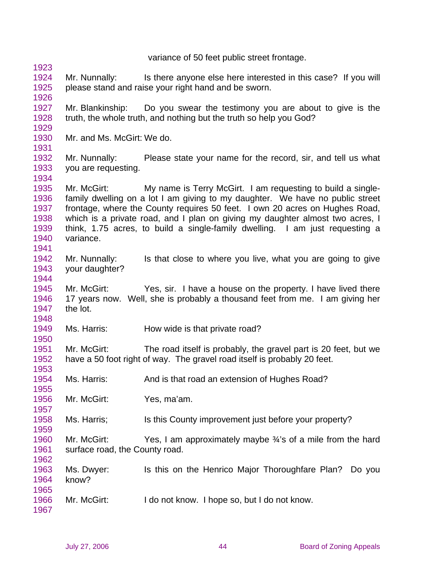variance of 50 feet public street frontage.

- 1924 1925 Mr. Nunnally: Is there anyone else here interested in this case? If you will please stand and raise your right hand and be sworn.
- 1927 1928 Mr. Blankinship: Do you swear the testimony you are about to give is the truth, the whole truth, and nothing but the truth so help you God?
- 1930 Mr. and Ms. McGirt: We do.
- 1931

1934

1941

1944

1948

1950

1957

1959

1962

1929

1923

1926

- 
- 1932 1933 Mr. Nunnally: Please state your name for the record, sir, and tell us what you are requesting.

1935 1936 1937 1938 1939 1940 Mr. McGirt: My name is Terry McGirt. I am requesting to build a singlefamily dwelling on a lot I am giving to my daughter. We have no public street frontage, where the County requires 50 feet. I own 20 acres on Hughes Road, which is a private road, and I plan on giving my daughter almost two acres, I think, 1.75 acres, to build a single-family dwelling. I am just requesting a variance.

1942 1943 Mr. Nunnally: Is that close to where you live, what you are going to give your daughter?

1945 1946 1947 Mr. McGirt: Yes, sir. I have a house on the property. I have lived there 17 years now. Well, she is probably a thousand feet from me. I am giving her the lot.

1949 Ms. Harris: How wide is that private road?

1951 1952 1953 Mr. McGirt: The road itself is probably, the gravel part is 20 feet, but we have a 50 foot right of way. The gravel road itself is probably 20 feet.

- 1954 1955 Ms. Harris: And is that road an extension of Hughes Road?
- 1956 Mr. McGirt: Yes, ma'am.

1958 Ms. Harris; Its this County improvement just before your property?

1960 1961 Mr. McGirt: Yes, I am approximately maybe  $\frac{3}{4}$ 's of a mile from the hard surface road, the County road.

- 1963 1964 1965 Ms. Dwyer: Is this on the Henrico Major Thoroughfare Plan? Do you know?
- 1966 Mr. McGirt: I do not know. I hope so, but I do not know.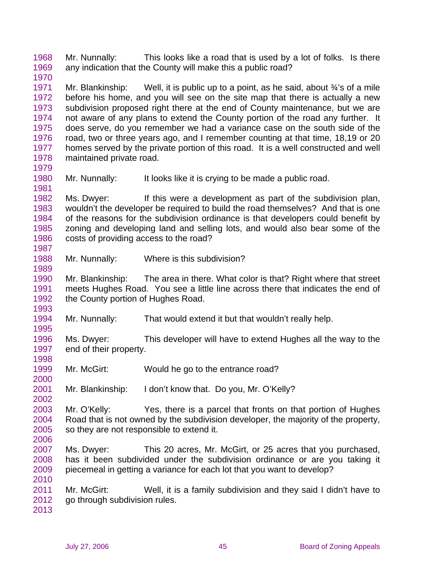1968 1969 Mr. Nunnally: This looks like a road that is used by a lot of folks. Is there any indication that the County will make this a public road?

1971 1972 1973 1974 1975 1976 1977 1978 Mr. Blankinship: Well, it is public up to a point, as he said, about  $\frac{3}{4}$ 's of a mile before his home, and you will see on the site map that there is actually a new subdivision proposed right there at the end of County maintenance, but we are not aware of any plans to extend the County portion of the road any further. It does serve, do you remember we had a variance case on the south side of the road, two or three years ago, and I remember counting at that time, 18,19 or 20 homes served by the private portion of this road. It is a well constructed and well maintained private road.

1980 1981 Mr. Nunnally: It looks like it is crying to be made a public road.

1982 1983 1984 1985 1986 1987 Ms. Dwyer: If this were a development as part of the subdivision plan, wouldn't the developer be required to build the road themselves? And that is one of the reasons for the subdivision ordinance is that developers could benefit by zoning and developing land and selling lots, and would also bear some of the costs of providing access to the road?

1988 Mr. Nunnally: Where is this subdivision?

1990 1991 1992 Mr. Blankinship: The area in there. What color is that? Right where that street meets Hughes Road. You see a little line across there that indicates the end of the County portion of Hughes Road.

1994 Mr. Nunnally: That would extend it but that wouldn't really help.

1996 1997 Ms. Dwyer: This developer will have to extend Hughes all the way to the end of their property.

1999 Mr. McGirt: Would he go to the entrance road?

2001 Mr. Blankinship: I don't know that. Do you, Mr. O'Kelly?

2003 2004 2005 Mr. O'Kelly: Yes, there is a parcel that fronts on that portion of Hughes Road that is not owned by the subdivision developer, the majority of the property, so they are not responsible to extend it.

2007 2008 2009 Ms. Dwyer: This 20 acres, Mr. McGirt, or 25 acres that you purchased, has it been subdivided under the subdivision ordinance or are you taking it piecemeal in getting a variance for each lot that you want to develop?

2011 2012 Mr. McGirt: Well, it is a family subdivision and they said I didn't have to go through subdivision rules.

2013

2010

1970

1979

1989

1993

1995

1998

2000

2002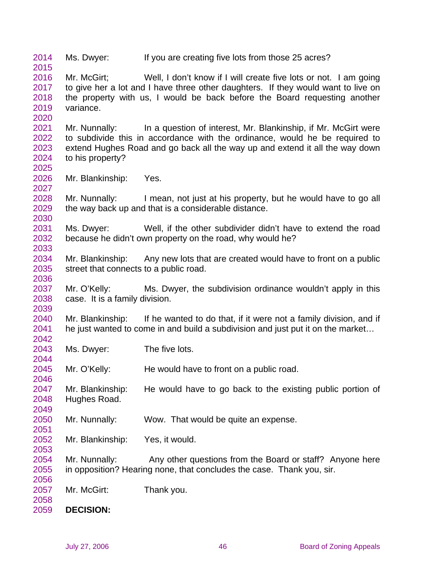2014 2015 2016 2017 2018 2019 2020 2021 2022 2023 2024 2025 2026 2027 2028 2029 2030 2031 2032 2033 2034 2035 2036 2037 2038 2039 2040 2041 2042 2043 2044 2045 2046 2047 2048 2049 2050 2051 2052 2053 2054 2055 2056 2057 2058 2059 Ms. Dwyer: If you are creating five lots from those 25 acres? Mr. McGirt; Well, I don't know if I will create five lots or not. I am going to give her a lot and I have three other daughters. If they would want to live on the property with us, I would be back before the Board requesting another variance. Mr. Nunnally: In a question of interest, Mr. Blankinship, if Mr. McGirt were to subdivide this in accordance with the ordinance, would he be required to extend Hughes Road and go back all the way up and extend it all the way down to his property? Mr. Blankinship: Yes. Mr. Nunnally: I mean, not just at his property, but he would have to go all the way back up and that is a considerable distance. Ms. Dwyer: Well, if the other subdivider didn't have to extend the road because he didn't own property on the road, why would he? Mr. Blankinship: Any new lots that are created would have to front on a public street that connects to a public road. Mr. O'Kelly: Ms. Dwyer, the subdivision ordinance wouldn't apply in this case. It is a family division. Mr. Blankinship: If he wanted to do that, if it were not a family division, and if he just wanted to come in and build a subdivision and just put it on the market… Ms. Dwyer: The five lots. Mr. O'Kelly: He would have to front on a public road. Mr. Blankinship: He would have to go back to the existing public portion of Hughes Road. Mr. Nunnally: Wow. That would be quite an expense. Mr. Blankinship: Yes, it would. Mr. Nunnally: Any other questions from the Board or staff? Anyone here in opposition? Hearing none, that concludes the case. Thank you, sir. Mr. McGirt: Thank you. **DECISION:**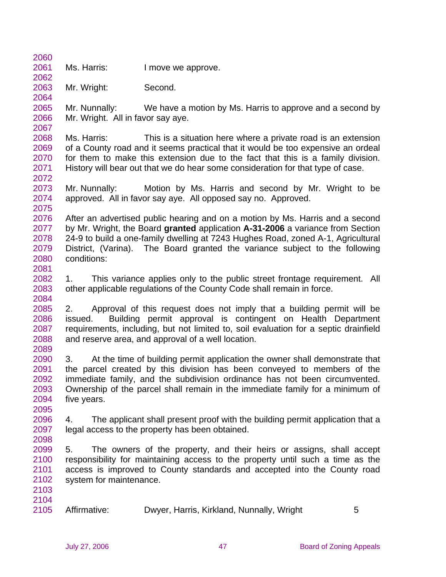2061 Ms. Harris: I move we approve.

2063 Mr. Wright: Second.

2060

2062

2064

2067

2075

2081

2084

2065 2066 Mr. Nunnally: We have a motion by Ms. Harris to approve and a second by Mr. Wright. All in favor say aye.

2068 2069 2070 2071 2072 Ms. Harris: This is a situation here where a private road is an extension of a County road and it seems practical that it would be too expensive an ordeal for them to make this extension due to the fact that this is a family division. History will bear out that we do hear some consideration for that type of case.

2073 2074 Mr. Nunnally: Motion by Ms. Harris and second by Mr. Wright to be approved. All in favor say aye. All opposed say no. Approved.

2076 2077 2078 2079 2080 After an advertised public hearing and on a motion by Ms. Harris and a second by Mr. Wright, the Board **granted** application **A-31-2006** a variance from Section 24-9 to build a one-family dwelling at 7243 Hughes Road, zoned A-1, Agricultural District, (Varina). The Board granted the variance subject to the following conditions:

2082 2083 1. This variance applies only to the public street frontage requirement. All other applicable regulations of the County Code shall remain in force.

2085 2086 2087 2088 2089 2. Approval of this request does not imply that a building permit will be issued. Building permit approval is contingent on Health Department requirements, including, but not limited to, soil evaluation for a septic drainfield and reserve area, and approval of a well location.

2090 2091 2092 2093 2094 3. At the time of building permit application the owner shall demonstrate that the parcel created by this division has been conveyed to members of the immediate family, and the subdivision ordinance has not been circumvented. Ownership of the parcel shall remain in the immediate family for a minimum of five years.

2096 2097 4. The applicant shall present proof with the building permit application that a legal access to the property has been obtained.

2099 2100 2101 2102 5. The owners of the property, and their heirs or assigns, shall accept responsibility for maintaining access to the property until such a time as the access is improved to County standards and accepted into the County road system for maintenance.

2103 2104

2095

2098

2105 Affirmative: Dwyer, Harris, Kirkland, Nunnally, Wright 5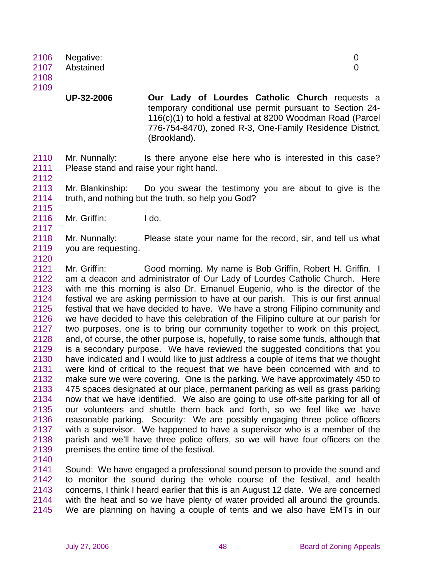**UP-32-2006 Our Lady of Lourdes Catholic Church** requests a temporary conditional use permit pursuant to Section 24- 116(c)(1) to hold a festival at 8200 Woodman Road (Parcel 776-754-8470), zoned R-3, One-Family Residence District, (Brookland).

2110 2111 Mr. Nunnally: Is there anyone else here who is interested in this case? Please stand and raise your right hand.

2113 2114 Mr. Blankinship: Do you swear the testimony you are about to give is the truth, and nothing but the truth, so help you God?

2116 Mr. Griffin: I do.

2118 2119 Mr. Nunnally: Please state your name for the record, sir, and tell us what you are requesting.

2121 2122 2123 2124 2125 2126 2127 2128 2129 2130 2131 2132 2133 2134 2135 2136 2137 2138 2139 Mr. Griffin: Good morning. My name is Bob Griffin, Robert H. Griffin. I am a deacon and administrator of Our Lady of Lourdes Catholic Church. Here with me this morning is also Dr. Emanuel Eugenio, who is the director of the festival we are asking permission to have at our parish. This is our first annual festival that we have decided to have. We have a strong Filipino community and we have decided to have this celebration of the Filipino culture at our parish for two purposes, one is to bring our community together to work on this project, and, of course, the other purpose is, hopefully, to raise some funds, although that is a secondary purpose. We have reviewed the suggested conditions that you have indicated and I would like to just address a couple of items that we thought were kind of critical to the request that we have been concerned with and to make sure we were covering. One is the parking. We have approximately 450 to 475 spaces designated at our place, permanent parking as well as grass parking now that we have identified. We also are going to use off-site parking for all of our volunteers and shuttle them back and forth, so we feel like we have reasonable parking. Security: We are possibly engaging three police officers with a supervisor. We happened to have a supervisor who is a member of the parish and we'll have three police offers, so we will have four officers on the premises the entire time of the festival.

2140

2112

2115

2117

2120

2141 2142 2143 2144 2145 Sound: We have engaged a professional sound person to provide the sound and to monitor the sound during the whole course of the festival, and health concerns, I think I heard earlier that this is an August 12 date. We are concerned with the heat and so we have plenty of water provided all around the grounds. We are planning on having a couple of tents and we also have EMTs in our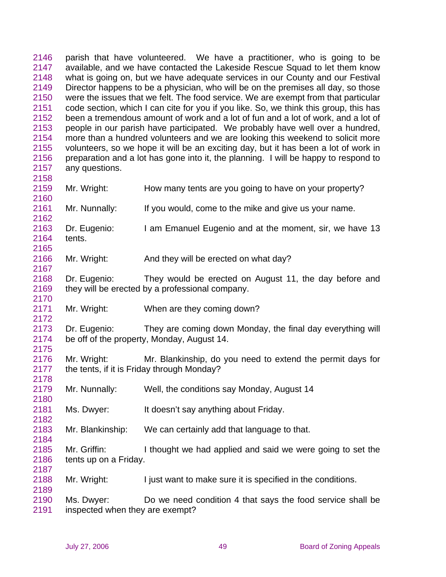2146 2147 2148 2149 2150 2151 2152 2153 2154 2155 2156 2157 2158 parish that have volunteered. We have a practitioner, who is going to be available, and we have contacted the Lakeside Rescue Squad to let them know what is going on, but we have adequate services in our County and our Festival Director happens to be a physician, who will be on the premises all day, so those were the issues that we felt. The food service. We are exempt from that particular code section, which I can cite for you if you like. So, we think this group, this has been a tremendous amount of work and a lot of fun and a lot of work, and a lot of people in our parish have participated. We probably have well over a hundred, more than a hundred volunteers and we are looking this weekend to solicit more volunteers, so we hope it will be an exciting day, but it has been a lot of work in preparation and a lot has gone into it, the planning. I will be happy to respond to any questions.

- 2159 2160 Mr. Wright: How many tents are you going to have on your property?
- 2161 Mr. Nunnally: If you would, come to the mike and give us your name.
- 2163 2164 2165 Dr. Eugenio: I am Emanuel Eugenio and at the moment, sir, we have 13 tents.
- 2166 Mr. Wright: And they will be erected on what day?
- 2168 2169 Dr. Eugenio: They would be erected on August 11, the day before and they will be erected by a professional company.
- 2171 Mr. Wright: When are they coming down?
- 2173 2174 2175 Dr. Eugenio: They are coming down Monday, the final day everything will be off of the property, Monday, August 14.
- 2176 2177 Mr. Wright: Mr. Blankinship, do you need to extend the permit days for the tents, if it is Friday through Monday?
- 2179 Mr. Nunnally: Well, the conditions say Monday, August 14
- 2181 Ms. Dwyer: It doesn't say anything about Friday.
- 2183 Mr. Blankinship: We can certainly add that language to that.
- 2185 2186 2187 Mr. Griffin: I thought we had applied and said we were going to set the tents up on a Friday.
- 2188 Mr. Wright: I just want to make sure it is specified in the conditions.
- 2190 2191 Ms. Dwyer: Do we need condition 4 that says the food service shall be inspected when they are exempt?

2162

2167

2170

2172

2178

2180

2182

2184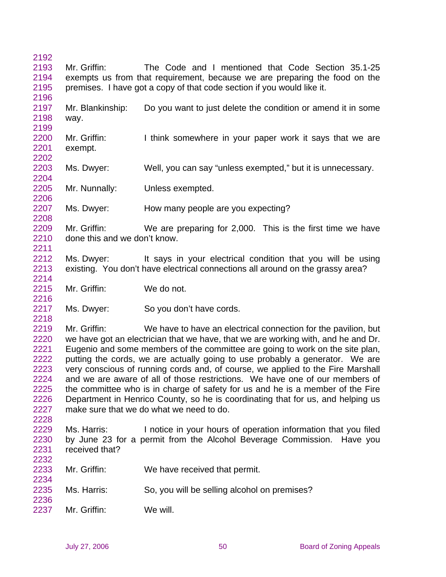| 2192 |                                                                        |                                                                                   |  |  |
|------|------------------------------------------------------------------------|-----------------------------------------------------------------------------------|--|--|
| 2193 | Mr. Griffin:                                                           | The Code and I mentioned that Code Section 35.1-25                                |  |  |
| 2194 |                                                                        | exempts us from that requirement, because we are preparing the food on the        |  |  |
| 2195 | premises. I have got a copy of that code section if you would like it. |                                                                                   |  |  |
| 2196 |                                                                        |                                                                                   |  |  |
| 2197 | Mr. Blankinship:                                                       | Do you want to just delete the condition or amend it in some                      |  |  |
| 2198 | way.                                                                   |                                                                                   |  |  |
| 2199 |                                                                        |                                                                                   |  |  |
| 2200 | Mr. Griffin:                                                           | I think somewhere in your paper work it says that we are                          |  |  |
| 2201 | exempt.                                                                |                                                                                   |  |  |
| 2202 |                                                                        |                                                                                   |  |  |
| 2203 | Ms. Dwyer:                                                             | Well, you can say "unless exempted," but it is unnecessary.                       |  |  |
| 2204 |                                                                        |                                                                                   |  |  |
| 2205 | Mr. Nunnally:                                                          | Unless exempted.                                                                  |  |  |
| 2206 |                                                                        |                                                                                   |  |  |
| 2207 | Ms. Dwyer:                                                             | How many people are you expecting?                                                |  |  |
| 2208 |                                                                        |                                                                                   |  |  |
| 2209 | Mr. Griffin:                                                           | We are preparing for 2,000. This is the first time we have                        |  |  |
| 2210 | done this and we don't know.                                           |                                                                                   |  |  |
| 2211 |                                                                        |                                                                                   |  |  |
| 2212 | Ms. Dwyer:                                                             | It says in your electrical condition that you will be using                       |  |  |
| 2213 |                                                                        | existing. You don't have electrical connections all around on the grassy area?    |  |  |
| 2214 |                                                                        |                                                                                   |  |  |
| 2215 | Mr. Griffin:                                                           | We do not.                                                                        |  |  |
| 2216 |                                                                        |                                                                                   |  |  |
| 2217 | Ms. Dwyer:                                                             | So you don't have cords.                                                          |  |  |
| 2218 |                                                                        |                                                                                   |  |  |
| 2219 | Mr. Griffin:                                                           | We have to have an electrical connection for the pavilion, but                    |  |  |
| 2220 |                                                                        | we have got an electrician that we have, that we are working with, and he and Dr. |  |  |
| 2221 |                                                                        | Eugenio and some members of the committee are going to work on the site plan,     |  |  |
| 2222 |                                                                        | putting the cords, we are actually going to use probably a generator. We are      |  |  |
| 2223 |                                                                        | very conscious of running cords and, of course, we applied to the Fire Marshall   |  |  |
| 2224 |                                                                        | and we are aware of all of those restrictions. We have one of our members of      |  |  |
| 2225 |                                                                        | the committee who is in charge of safety for us and he is a member of the Fire    |  |  |
| 2226 |                                                                        | Department in Henrico County, so he is coordinating that for us, and helping us   |  |  |
| 2227 |                                                                        | make sure that we do what we need to do.                                          |  |  |
| 2228 |                                                                        |                                                                                   |  |  |
| 2229 | Ms. Harris:                                                            | I notice in your hours of operation information that you filed                    |  |  |
| 2230 |                                                                        | by June 23 for a permit from the Alcohol Beverage Commission. Have you            |  |  |
| 2231 | received that?                                                         |                                                                                   |  |  |
| 2232 |                                                                        |                                                                                   |  |  |
| 2233 | Mr. Griffin:                                                           | We have received that permit.                                                     |  |  |
| 2234 |                                                                        |                                                                                   |  |  |
| 2235 | Ms. Harris:                                                            | So, you will be selling alcohol on premises?                                      |  |  |
| 2236 |                                                                        |                                                                                   |  |  |
| 2237 | Mr. Griffin:                                                           | We will.                                                                          |  |  |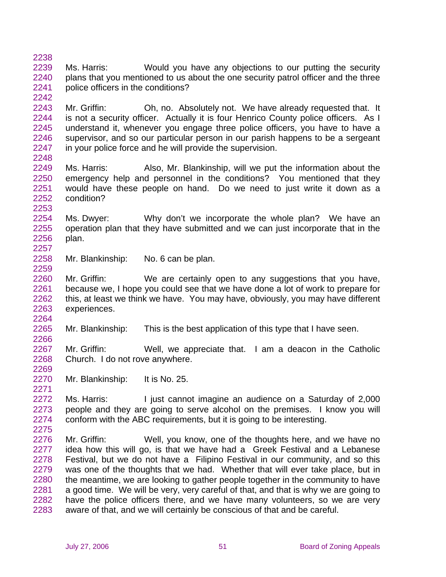2239 2240 2241 Ms. Harris: Would you have any objections to our putting the security plans that you mentioned to us about the one security patrol officer and the three police officers in the conditions?

2243 2244 2245 2246 2247 Mr. Griffin: Oh, no. Absolutely not. We have already requested that. It is not a security officer. Actually it is four Henrico County police officers. As I understand it, whenever you engage three police officers, you have to have a supervisor, and so our particular person in our parish happens to be a sergeant in your police force and he will provide the supervision.

2249 2250 2251 2252 Ms. Harris: Also, Mr. Blankinship, will we put the information about the emergency help and personnel in the conditions? You mentioned that they would have these people on hand. Do we need to just write it down as a condition?

2254 2255 2256 2257 Ms. Dwyer: Why don't we incorporate the whole plan? We have an operation plan that they have submitted and we can just incorporate that in the plan.

2258 Mr. Blankinship: No. 6 can be plan.

2238

2242

2248

2253

2259

2264

2266

2269

2271

2260 2261 2262 2263 Mr. Griffin: We are certainly open to any suggestions that you have, because we, I hope you could see that we have done a lot of work to prepare for this, at least we think we have. You may have, obviously, you may have different experiences.

2265 Mr. Blankinship: This is the best application of this type that I have seen.

2267 2268 Mr. Griffin: Well, we appreciate that. I am a deacon in the Catholic Church. I do not rove anywhere.

2270 Mr. Blankinship: It is No. 25.

2272 2273 2274 2275 Ms. Harris: I just cannot imagine an audience on a Saturday of 2,000 people and they are going to serve alcohol on the premises. I know you will conform with the ABC requirements, but it is going to be interesting.

2276 2277 2278 2279 2280 2281 2282 2283 Mr. Griffin: Well, you know, one of the thoughts here, and we have no idea how this will go, is that we have had a Greek Festival and a Lebanese Festival, but we do not have a Filipino Festival in our community, and so this was one of the thoughts that we had. Whether that will ever take place, but in the meantime, we are looking to gather people together in the community to have a good time. We will be very, very careful of that, and that is why we are going to have the police officers there, and we have many volunteers, so we are very aware of that, and we will certainly be conscious of that and be careful.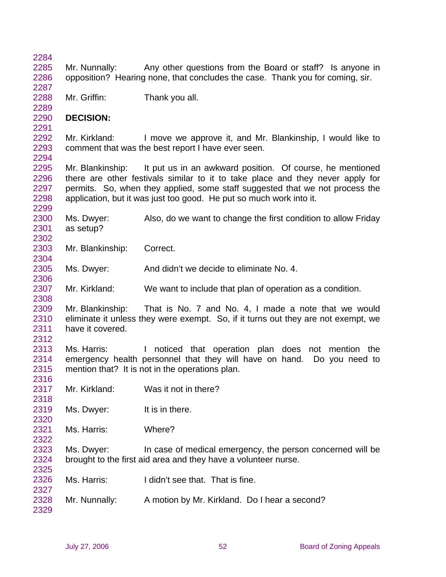| 2284 |                  |                                                                                   |
|------|------------------|-----------------------------------------------------------------------------------|
| 2285 | Mr. Nunnally:    | Any other questions from the Board or staff? Is anyone in                         |
| 2286 |                  | opposition? Hearing none, that concludes the case. Thank you for coming, sir.     |
| 2287 |                  |                                                                                   |
| 2288 | Mr. Griffin:     | Thank you all.                                                                    |
| 2289 |                  |                                                                                   |
| 2290 | <b>DECISION:</b> |                                                                                   |
| 2291 |                  |                                                                                   |
| 2292 | Mr. Kirkland:    | I move we approve it, and Mr. Blankinship, I would like to                        |
| 2293 |                  | comment that was the best report I have ever seen.                                |
| 2294 |                  |                                                                                   |
| 2295 | Mr. Blankinship: | It put us in an awkward position. Of course, he mentioned                         |
| 2296 |                  | there are other festivals similar to it to take place and they never apply for    |
| 2297 |                  | permits. So, when they applied, some staff suggested that we not process the      |
| 2298 |                  | application, but it was just too good. He put so much work into it.               |
| 2299 |                  |                                                                                   |
| 2300 | Ms. Dwyer:       | Also, do we want to change the first condition to allow Friday                    |
| 2301 | as setup?        |                                                                                   |
| 2302 |                  |                                                                                   |
| 2303 | Mr. Blankinship: | Correct.                                                                          |
| 2304 |                  |                                                                                   |
| 2305 | Ms. Dwyer:       | And didn't we decide to eliminate No. 4.                                          |
| 2306 |                  |                                                                                   |
| 2307 | Mr. Kirkland:    | We want to include that plan of operation as a condition.                         |
| 2308 |                  |                                                                                   |
| 2309 | Mr. Blankinship: | That is No. 7 and No. 4, I made a note that we would                              |
| 2310 |                  | eliminate it unless they were exempt. So, if it turns out they are not exempt, we |
| 2311 | have it covered. |                                                                                   |
| 2312 |                  |                                                                                   |
| 2313 | Ms. Harris:      | I noticed that operation plan does not mention<br>the                             |
| 2314 |                  | emergency health personnel that they will have on hand.<br>Do you need to         |
| 2315 |                  | mention that? It is not in the operations plan.                                   |
| 2316 |                  |                                                                                   |
| 2317 | Mr. Kirkland:    | Was it not in there?                                                              |
| 2318 |                  |                                                                                   |
| 2319 | Ms. Dwyer:       | It is in there.                                                                   |
| 2320 |                  |                                                                                   |
| 2321 | Ms. Harris:      | Where?                                                                            |
| 2322 |                  |                                                                                   |
| 2323 | Ms. Dwyer:       | In case of medical emergency, the person concerned will be                        |
| 2324 |                  | brought to the first aid area and they have a volunteer nurse.                    |
| 2325 |                  |                                                                                   |
| 2326 | Ms. Harris:      | I didn't see that. That is fine.                                                  |
| 2327 |                  |                                                                                   |
| 2328 | Mr. Nunnally:    | A motion by Mr. Kirkland. Do I hear a second?                                     |
| 2329 |                  |                                                                                   |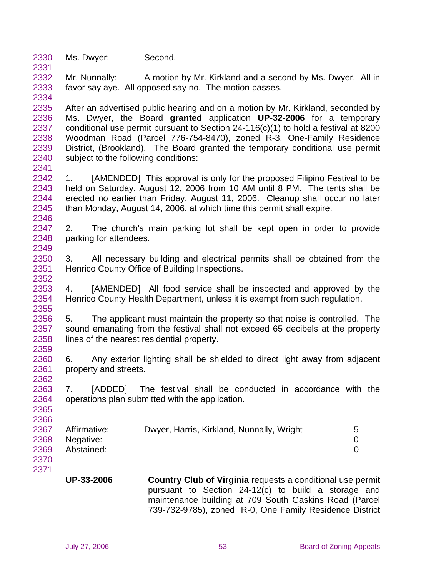2330 Ms. Dwyer: Second.

2331

2341

2352

2355

2362

2365 2366

2332 2333 2334 Mr. Nunnally: A motion by Mr. Kirkland and a second by Ms. Dwyer. All in favor say aye. All opposed say no. The motion passes.

2335 2336 2337 2338 2339 2340 After an advertised public hearing and on a motion by Mr. Kirkland, seconded by Ms. Dwyer, the Board **granted** application **UP-32-2006** for a temporary conditional use permit pursuant to Section 24-116(c)(1) to hold a festival at 8200 Woodman Road (Parcel 776-754-8470), zoned R-3, One-Family Residence District, (Brookland). The Board granted the temporary conditional use permit subject to the following conditions:

2342 2343 2344 2345 2346 1. [AMENDED] This approval is only for the proposed Filipino Festival to be held on Saturday, August 12, 2006 from 10 AM until 8 PM. The tents shall be erected no earlier than Friday, August 11, 2006. Cleanup shall occur no later than Monday, August 14, 2006, at which time this permit shall expire.

2347 2348 2349 2. The church's main parking lot shall be kept open in order to provide parking for attendees.

2350 2351 3. All necessary building and electrical permits shall be obtained from the Henrico County Office of Building Inspections.

2353 2354 4. [AMENDED] All food service shall be inspected and approved by the Henrico County Health Department, unless it is exempt from such regulation.

2356 2357 2358 2359 5. The applicant must maintain the property so that noise is controlled. The sound emanating from the festival shall not exceed 65 decibels at the property lines of the nearest residential property.

2360 2361 6. Any exterior lighting shall be shielded to direct light away from adjacent property and streets.

2363 2364 7. [ADDED] The festival shall be conducted in accordance with the operations plan submitted with the application.

| 2367 | Affirmative: | Dwyer, Harris, Kirkland, Nunnally, Wright | 5 |
|------|--------------|-------------------------------------------|---|
| 2368 | Negative:    |                                           |   |
| 2369 | Abstained:   |                                           |   |
| 2370 |              |                                           |   |

2371

**UP-33-2006 Country Club of Virginia** requests a conditional use permit pursuant to Section 24-12(c) to build a storage and maintenance building at 709 South Gaskins Road (Parcel 739-732-9785), zoned R-0, One Family Residence District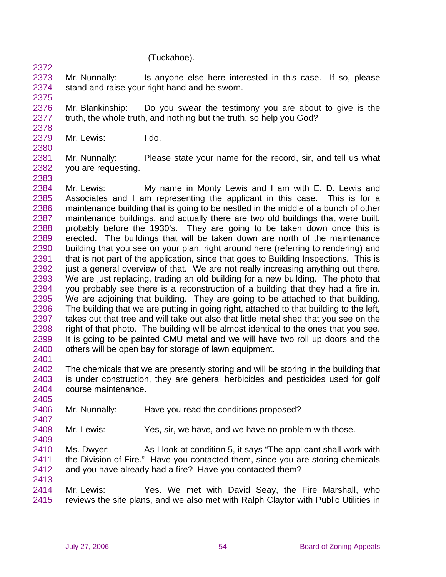## (Tuckahoe).

2373 2374 Mr. Nunnally: Is anyone else here interested in this case. If so, please stand and raise your right hand and be sworn.

2375

2378

2380

2383

2405

2407

2409

2413

2372

2376 2377 Mr. Blankinship: Do you swear the testimony you are about to give is the truth, the whole truth, and nothing but the truth, so help you God?

- 2379 Mr. Lewis: I do.
- 2381 2382 Mr. Nunnally: Please state your name for the record, sir, and tell us what you are requesting.

2384 2385 2386 2387 2388 2389 2390 2391 2392 2393 2394 2395 2396 2397 2398 2399 2400 2401 Mr. Lewis: My name in Monty Lewis and I am with E. D. Lewis and Associates and I am representing the applicant in this case. This is for a maintenance building that is going to be nestled in the middle of a bunch of other maintenance buildings, and actually there are two old buildings that were built, probably before the 1930's. They are going to be taken down once this is erected. The buildings that will be taken down are north of the maintenance building that you see on your plan, right around here (referring to rendering) and that is not part of the application, since that goes to Building Inspections. This is just a general overview of that. We are not really increasing anything out there. We are just replacing, trading an old building for a new building. The photo that you probably see there is a reconstruction of a building that they had a fire in. We are adjoining that building. They are going to be attached to that building. The building that we are putting in going right, attached to that building to the left, takes out that tree and will take out also that little metal shed that you see on the right of that photo. The building will be almost identical to the ones that you see. It is going to be painted CMU metal and we will have two roll up doors and the others will be open bay for storage of lawn equipment.

2402 2403 2404 The chemicals that we are presently storing and will be storing in the building that is under construction, they are general herbicides and pesticides used for golf course maintenance.

- 2406 Mr. Nunnally: Have you read the conditions proposed?
- 2408 Mr. Lewis: Yes, sir, we have, and we have no problem with those.

2410 2411 2412 Ms. Dwyer: As I look at condition 5, it says "The applicant shall work with the Division of Fire." Have you contacted them, since you are storing chemicals and you have already had a fire? Have you contacted them?

2414 2415 Mr. Lewis: Yes. We met with David Seay, the Fire Marshall, who reviews the site plans, and we also met with Ralph Claytor with Public Utilities in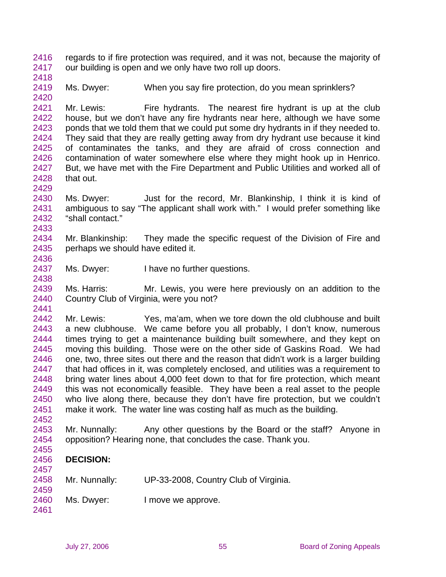2416 2417 regards to if fire protection was required, and it was not, because the majority of our building is open and we only have two roll up doors.

2418

2429

2433

2436

2438

2441

2419 2420 Ms. Dwyer: When you say fire protection, do you mean sprinklers?

2421 2422 2423 2424 2425 2426 2427 2428 Mr. Lewis: Fire hydrants. The nearest fire hydrant is up at the club house, but we don't have any fire hydrants near here, although we have some ponds that we told them that we could put some dry hydrants in if they needed to. They said that they are really getting away from dry hydrant use because it kind of contaminates the tanks, and they are afraid of cross connection and contamination of water somewhere else where they might hook up in Henrico. But, we have met with the Fire Department and Public Utilities and worked all of that out.

2430 2431 2432 Ms. Dwyer: Just for the record, Mr. Blankinship, I think it is kind of ambiguous to say "The applicant shall work with." I would prefer something like "shall contact."

2434 2435 Mr. Blankinship: They made the specific request of the Division of Fire and perhaps we should have edited it.

2437 Ms. Dwyer: I have no further questions.

2439 2440 Ms. Harris: Mr. Lewis, you were here previously on an addition to the Country Club of Virginia, were you not?

2442 2443 2444 2445 2446 2447 2448 2449 2450 2451 2452 Mr. Lewis: Yes, ma'am, when we tore down the old clubhouse and built a new clubhouse. We came before you all probably, I don't know, numerous times trying to get a maintenance building built somewhere, and they kept on moving this building. Those were on the other side of Gaskins Road. We had one, two, three sites out there and the reason that didn't work is a larger building that had offices in it, was completely enclosed, and utilities was a requirement to bring water lines about 4,000 feet down to that for fire protection, which meant this was not economically feasible. They have been a real asset to the people who live along there, because they don't have fire protection, but we couldn't make it work. The water line was costing half as much as the building.

2453 2454 Mr. Nunnally: Any other questions by the Board or the staff? Anyone in opposition? Hearing none, that concludes the case. Thank you.

## 2456 **DECISION:**

2458 Mr. Nunnally: UP-33-2008, Country Club of Virginia.

2460 Ms. Dwyer: I move we approve.

2455

2457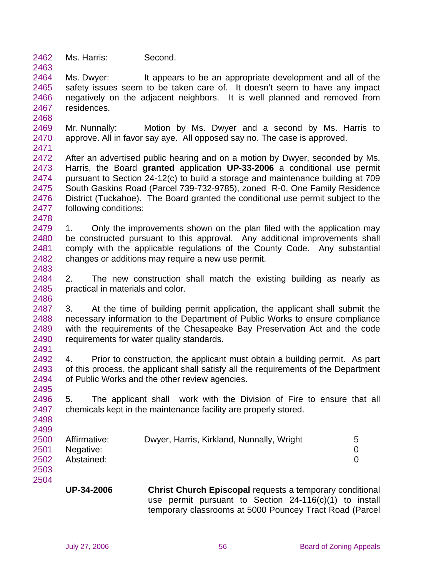2462 Ms. Harris: Second.

2464 2465 2466 2467 Ms. Dwyer: It appears to be an appropriate development and all of the safety issues seem to be taken care of. It doesn't seem to have any impact negatively on the adjacent neighbors. It is well planned and removed from residences.

2469 2470 Mr. Nunnally: Motion by Ms. Dwyer and a second by Ms. Harris to approve. All in favor say aye. All opposed say no. The case is approved.

2472 2473 2474 2475 2476 2477 After an advertised public hearing and on a motion by Dwyer, seconded by Ms. Harris, the Board **granted** application **UP-33-2006** a conditional use permit pursuant to Section 24-12(c) to build a storage and maintenance building at 709 South Gaskins Road (Parcel 739-732-9785), zoned R-0, One Family Residence District (Tuckahoe). The Board granted the conditional use permit subject to the following conditions:

2478

2483

2486

2498 2499

2504

2463

2468

2471

2479 2480 2481 2482 1. Only the improvements shown on the plan filed with the application may be constructed pursuant to this approval. Any additional improvements shall comply with the applicable regulations of the County Code. Any substantial changes or additions may require a new use permit.

2484 2485 2. The new construction shall match the existing building as nearly as practical in materials and color.

2487 2488 2489 2490 2491 3. At the time of building permit application, the applicant shall submit the necessary information to the Department of Public Works to ensure compliance with the requirements of the Chesapeake Bay Preservation Act and the code requirements for water quality standards.

2492 2493 2494 2495 4. Prior to construction, the applicant must obtain a building permit. As part of this process, the applicant shall satisfy all the requirements of the Department of Public Works and the other review agencies.

2496 2497 5. The applicant shall work with the Division of Fire to ensure that all chemicals kept in the maintenance facility are properly stored.

| 2500 | Affirmative: | Dwyer, Harris, Kirkland, Nunnally, Wright | 5 |
|------|--------------|-------------------------------------------|---|
| 2501 | Negative:    |                                           |   |
| 2502 | Abstained:   |                                           |   |
| 2503 |              |                                           |   |

**UP-34-2006 Christ Church Episcopal** requests a temporary conditional use permit pursuant to Section 24-116(c)(1) to install temporary classrooms at 5000 Pouncey Tract Road (Parcel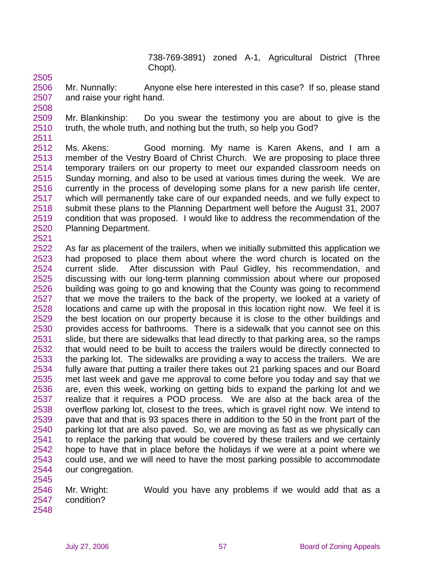738-769-3891) zoned A-1, Agricultural District (Three Chopt).

2505

2506 2507 Mr. Nunnally: Anyone else here interested in this case? If so, please stand and raise your right hand.

2508

2509 2510 2511 Mr. Blankinship: Do you swear the testimony you are about to give is the truth, the whole truth, and nothing but the truth, so help you God?

2512 2513 2514 2515 2516 2517 2518 2519 2520 2521 Ms. Akens: Good morning. My name is Karen Akens, and I am a member of the Vestry Board of Christ Church. We are proposing to place three temporary trailers on our property to meet our expanded classroom needs on Sunday morning, and also to be used at various times during the week. We are currently in the process of developing some plans for a new parish life center, which will permanently take care of our expanded needs, and we fully expect to submit these plans to the Planning Department well before the August 31, 2007 condition that was proposed. I would like to address the recommendation of the Planning Department.

2522 2523 2524 2525 2526 2527 2528 2529 2530 2531 2532 2533 2534 2535 2536 2537 2538 2539 2540 2541 2542 2543 2544 As far as placement of the trailers, when we initially submitted this application we had proposed to place them about where the word church is located on the current slide. After discussion with Paul Gidley, his recommendation, and discussing with our long-term planning commission about where our proposed building was going to go and knowing that the County was going to recommend that we move the trailers to the back of the property, we looked at a variety of locations and came up with the proposal in this location right now. We feel it is the best location on our property because it is close to the other buildings and provides access for bathrooms. There is a sidewalk that you cannot see on this slide, but there are sidewalks that lead directly to that parking area, so the ramps that would need to be built to access the trailers would be directly connected to the parking lot. The sidewalks are providing a way to access the trailers. We are fully aware that putting a trailer there takes out 21 parking spaces and our Board met last week and gave me approval to come before you today and say that we are, even this week, working on getting bids to expand the parking lot and we realize that it requires a POD process. We are also at the back area of the overflow parking lot, closest to the trees, which is gravel right now. We intend to pave that and that is 93 spaces there in addition to the 50 in the front part of the parking lot that are also paved. So, we are moving as fast as we physically can to replace the parking that would be covered by these trailers and we certainly hope to have that in place before the holidays if we were at a point where we could use, and we will need to have the most parking possible to accommodate our congregation.

2546 2547 2548 Mr. Wright: Would you have any problems if we would add that as a condition?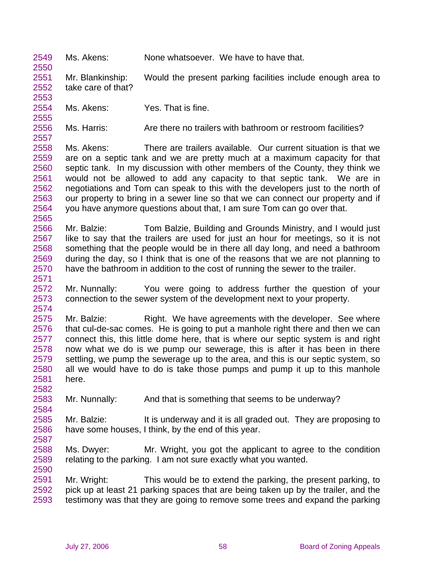2549 Ms. Akens: None whatsoever. We have to have that.

2551 2552 2553 Mr. Blankinship: Would the present parking facilities include enough area to take care of that?

2554 Ms. Akens: Yes. That is fine.

2550

2555

2557

2571

2574

2582

2584

2587

2556 Ms. Harris: Are there no trailers with bathroom or restroom facilities?

2558 2559 2560 2561 2562 2563 2564 2565 Ms. Akens: There are trailers available. Our current situation is that we are on a septic tank and we are pretty much at a maximum capacity for that septic tank. In my discussion with other members of the County, they think we would not be allowed to add any capacity to that septic tank. We are in negotiations and Tom can speak to this with the developers just to the north of our property to bring in a sewer line so that we can connect our property and if you have anymore questions about that, I am sure Tom can go over that.

2566 2567 2568 2569 2570 Mr. Balzie: Tom Balzie, Building and Grounds Ministry, and I would just like to say that the trailers are used for just an hour for meetings, so it is not something that the people would be in there all day long, and need a bathroom during the day, so I think that is one of the reasons that we are not planning to have the bathroom in addition to the cost of running the sewer to the trailer.

2572 2573 Mr. Nunnally: You were going to address further the question of your connection to the sewer system of the development next to your property.

2575 2576 2577 2578 2579 2580 2581 Mr. Balzie: Right. We have agreements with the developer. See where that cul-de-sac comes. He is going to put a manhole right there and then we can connect this, this little dome here, that is where our septic system is and right now what we do is we pump our sewerage, this is after it has been in there settling, we pump the sewerage up to the area, and this is our septic system, so all we would have to do is take those pumps and pump it up to this manhole here.

2583 Mr. Nunnally: And that is something that seems to be underway?

2585 2586 Mr. Balzie: It is underway and it is all graded out. They are proposing to have some houses, I think, by the end of this year.

2588 2589 2590 Ms. Dwyer: Mr. Wright, you got the applicant to agree to the condition relating to the parking. I am not sure exactly what you wanted.

2591 2592 2593 Mr. Wright: This would be to extend the parking, the present parking, to pick up at least 21 parking spaces that are being taken up by the trailer, and the testimony was that they are going to remove some trees and expand the parking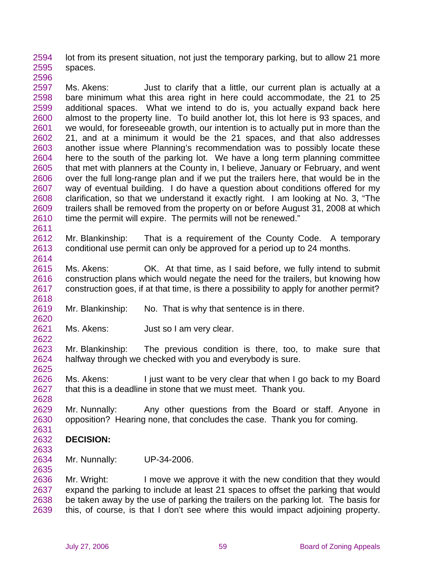2594 2595 2596 lot from its present situation, not just the temporary parking, but to allow 21 more spaces.

2597 2598 2599 2600 2601 2602 2603 2604 2605 2606 2607 2608 2609 2610 Ms. Akens: **Just to clarify that a little, our current plan is actually at a** bare minimum what this area right in here could accommodate, the 21 to 25 additional spaces. What we intend to do is, you actually expand back here almost to the property line. To build another lot, this lot here is 93 spaces, and we would, for foreseeable growth, our intention is to actually put in more than the 21, and at a minimum it would be the 21 spaces, and that also addresses another issue where Planning's recommendation was to possibly locate these here to the south of the parking lot. We have a long term planning committee that met with planners at the County in, I believe, January or February, and went over the full long-range plan and if we put the trailers here, that would be in the way of eventual building. I do have a question about conditions offered for my clarification, so that we understand it exactly right. I am looking at No. 3, "The trailers shall be removed from the property on or before August 31, 2008 at which time the permit will expire. The permits will not be renewed."

2612 2613 Mr. Blankinship: That is a requirement of the County Code. A temporary conditional use permit can only be approved for a period up to 24 months.

2615 2616 2617 Ms. Akens: OK. At that time, as I said before, we fully intend to submit construction plans which would negate the need for the trailers, but knowing how construction goes, if at that time, is there a possibility to apply for another permit?

2619 Mr. Blankinship: No. That is why that sentence is in there.

2621 Ms. Akens: Just so I am very clear.

2623 2624 2625 Mr. Blankinship: The previous condition is there, too, to make sure that halfway through we checked with you and everybody is sure.

2626 2627 Ms. Akens: I just want to be very clear that when I go back to my Board that this is a deadline in stone that we must meet. Thank you.

2629 2630 Mr. Nunnally: Any other questions from the Board or staff. Anyone in opposition? Hearing none, that concludes the case. Thank you for coming.

## 2632 **DECISION:**

2633

2631

2628

2611

2614

2618

2620

2622

2634 2635 Mr. Nunnally: UP-34-2006.

2636 2637 2638 2639 Mr. Wright: I move we approve it with the new condition that they would expand the parking to include at least 21 spaces to offset the parking that would be taken away by the use of parking the trailers on the parking lot. The basis for this, of course, is that I don't see where this would impact adjoining property.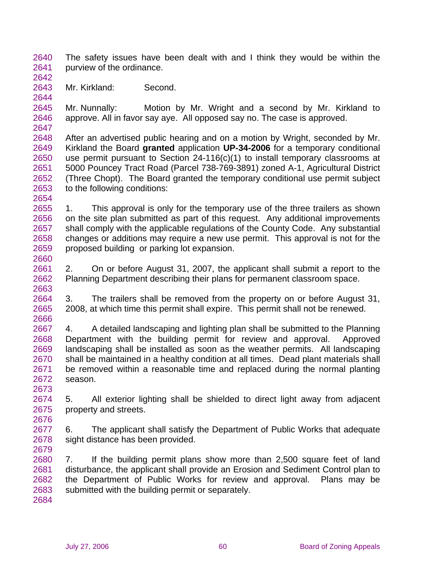2640 2641 The safety issues have been dealt with and I think they would be within the purview of the ordinance.

2642 2643

2644

2660

Mr. Kirkland: Second.

2645 2646 2647 Mr. Nunnally: Motion by Mr. Wright and a second by Mr. Kirkland to approve. All in favor say aye. All opposed say no. The case is approved.

2648 2649 2650 2651 2652 2653 2654 After an advertised public hearing and on a motion by Wright, seconded by Mr. Kirkland the Board **granted** application **UP-34-2006** for a temporary conditional use permit pursuant to Section 24-116(c)(1) to install temporary classrooms at 5000 Pouncey Tract Road (Parcel 738-769-3891) zoned A-1, Agricultural District (Three Chopt). The Board granted the temporary conditional use permit subject to the following conditions:

2655 2656 2657 2658 2659 1. This approval is only for the temporary use of the three trailers as shown on the site plan submitted as part of this request. Any additional improvements shall comply with the applicable regulations of the County Code. Any substantial changes or additions may require a new use permit. This approval is not for the proposed building or parking lot expansion.

2661 2662 2663 2. On or before August 31, 2007, the applicant shall submit a report to the Planning Department describing their plans for permanent classroom space.

2664 2665 2666 3. The trailers shall be removed from the property on or before August 31, 2008, at which time this permit shall expire. This permit shall not be renewed.

2667 2668 2669 2670 2671 2672 4. A detailed landscaping and lighting plan shall be submitted to the Planning Department with the building permit for review and approval. Approved landscaping shall be installed as soon as the weather permits. All landscaping shall be maintained in a healthy condition at all times. Dead plant materials shall be removed within a reasonable time and replaced during the normal planting season.

2674 2675 2676 5. All exterior lighting shall be shielded to direct light away from adjacent property and streets.

2677 2678 2679 6. The applicant shall satisfy the Department of Public Works that adequate sight distance has been provided.

2680 2681 2682 2683 7. If the building permit plans show more than 2,500 square feet of land disturbance, the applicant shall provide an Erosion and Sediment Control plan to the Department of Public Works for review and approval. Plans may be submitted with the building permit or separately.

2684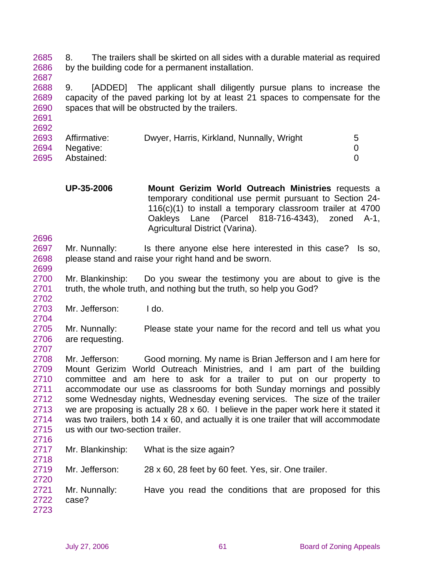2685 2686 2687 8. The trailers shall be skirted on all sides with a durable material as required by the building code for a permanent installation.

2688 2689 2690 9. [ADDED] The applicant shall diligently pursue plans to increase the capacity of the paved parking lot by at least 21 spaces to compensate for the spaces that will be obstructed by the trailers.

| Dwyer, Harris, Kirkland, Nunnally, Wright<br>5 |
|------------------------------------------------|
|                                                |
|                                                |

**UP-35-2006 Mount Gerizim World Outreach Ministries** requests a temporary conditional use permit pursuant to Section 24- 116(c)(1) to install a temporary classroom trailer at 4700 Oakleys Lane (Parcel 818-716-4343), zoned A-1, Agricultural District (Varina).

2697 2698 Mr. Nunnally: Is there anyone else here interested in this case? Is so, please stand and raise your right hand and be sworn.

2700 2701 Mr. Blankinship: Do you swear the testimony you are about to give is the truth, the whole truth, and nothing but the truth, so help you God?

2703 Mr. Jefferson: I do.

2705 2706 2707 Mr. Nunnally: Please state your name for the record and tell us what you are requesting.

2708 2709 2710 2711 2712 2713 2714 2715 Mr. Jefferson: Good morning. My name is Brian Jefferson and I am here for Mount Gerizim World Outreach Ministries, and I am part of the building committee and am here to ask for a trailer to put on our property to accommodate our use as classrooms for both Sunday mornings and possibly some Wednesday nights, Wednesday evening services. The size of the trailer we are proposing is actually 28 x 60. I believe in the paper work here it stated it was two trailers, both 14 x 60, and actually it is one trailer that will accommodate us with our two-section trailer.

2716

2720

2691 2692

2696

2699

2702

2704

2717 2718 Mr. Blankinship: What is the size again?

2719 Mr. Jefferson: 28 x 60, 28 feet by 60 feet. Yes, sir. One trailer.

2721 2722 2723 Mr. Nunnally: Have you read the conditions that are proposed for this case?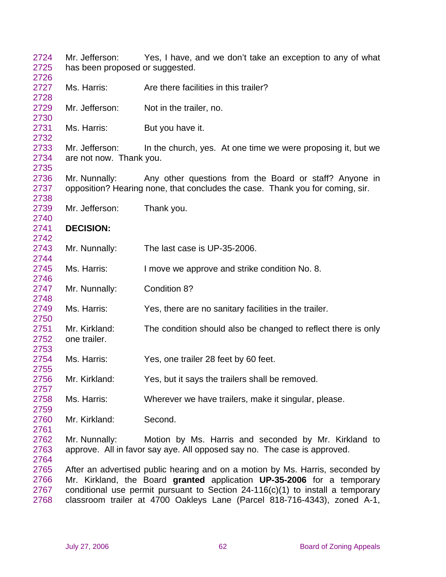| 2724<br>2725 | Mr. Jefferson:<br>has been proposed or suggested.                                | Yes, I have, and we don't take an exception to any of what                    |  |
|--------------|----------------------------------------------------------------------------------|-------------------------------------------------------------------------------|--|
| 2726         |                                                                                  |                                                                               |  |
| 2727         | Ms. Harris:                                                                      | Are there facilities in this trailer?                                         |  |
| 2728         |                                                                                  |                                                                               |  |
| 2729         | Mr. Jefferson:                                                                   | Not in the trailer, no.                                                       |  |
| 2730         |                                                                                  |                                                                               |  |
| 2731<br>2732 | Ms. Harris:                                                                      | But you have it.                                                              |  |
| 2733         | Mr. Jefferson:                                                                   | In the church, yes. At one time we were proposing it, but we                  |  |
| 2734         | are not now. Thank you.                                                          |                                                                               |  |
| 2735         |                                                                                  |                                                                               |  |
| 2736         | Mr. Nunnally:                                                                    | Any other questions from the Board or staff? Anyone in                        |  |
| 2737         |                                                                                  | opposition? Hearing none, that concludes the case. Thank you for coming, sir. |  |
| 2738         |                                                                                  |                                                                               |  |
| 2739         | Mr. Jefferson:                                                                   | Thank you.                                                                    |  |
| 2740         |                                                                                  |                                                                               |  |
| 2741         | <b>DECISION:</b>                                                                 |                                                                               |  |
| 2742         |                                                                                  |                                                                               |  |
| 2743         | Mr. Nunnally:                                                                    | The last case is UP-35-2006.                                                  |  |
| 2744         |                                                                                  |                                                                               |  |
| 2745         | Ms. Harris:                                                                      | I move we approve and strike condition No. 8.                                 |  |
| 2746         |                                                                                  |                                                                               |  |
| 2747         | Mr. Nunnally:                                                                    | Condition 8?                                                                  |  |
| 2748         |                                                                                  |                                                                               |  |
| 2749         | Ms. Harris:                                                                      | Yes, there are no sanitary facilities in the trailer.                         |  |
| 2750         |                                                                                  |                                                                               |  |
| 2751         | Mr. Kirkland:                                                                    | The condition should also be changed to reflect there is only                 |  |
| 2752         | one trailer.                                                                     |                                                                               |  |
| 2753         |                                                                                  |                                                                               |  |
| 2754         | Ms. Harris:                                                                      | Yes, one trailer 28 feet by 60 feet.                                          |  |
| 2755         |                                                                                  |                                                                               |  |
| 2756         | Mr. Kirkland:                                                                    | Yes, but it says the trailers shall be removed.                               |  |
| 2757         |                                                                                  |                                                                               |  |
| 2758         | Ms. Harris:                                                                      | Wherever we have trailers, make it singular, please.                          |  |
| 2759<br>2760 | Mr. Kirkland:                                                                    | Second.                                                                       |  |
| 2761         |                                                                                  |                                                                               |  |
| 2762         | Mr. Nunnally:                                                                    | Motion by Ms. Harris and seconded by Mr. Kirkland to                          |  |
| 2763         |                                                                                  | approve. All in favor say aye. All opposed say no. The case is approved.      |  |
| 2764         |                                                                                  |                                                                               |  |
| 2765         |                                                                                  | After an advertised public hearing and on a motion by Ms. Harris, seconded by |  |
| 2766         | Mr. Kirkland, the Board granted application UP-35-2006 for a temporary           |                                                                               |  |
| 2767         | conditional use permit pursuant to Section $24-116(c)(1)$ to install a temporary |                                                                               |  |
| 2768         | classroom trailer at 4700 Oakleys Lane (Parcel 818-716-4343), zoned A-1,         |                                                                               |  |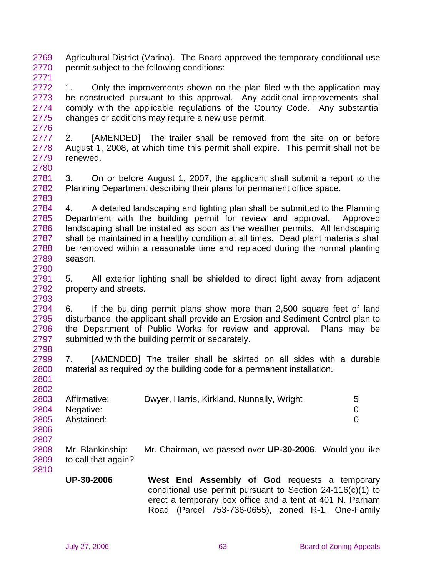2769 2770 2771 Agricultural District (Varina). The Board approved the temporary conditional use permit subject to the following conditions:

2772 2773 2774 2775 1. Only the improvements shown on the plan filed with the application may be constructed pursuant to this approval. Any additional improvements shall comply with the applicable regulations of the County Code. Any substantial changes or additions may require a new use permit.

2777 2778 2779 2780 2. [AMENDED] The trailer shall be removed from the site on or before August 1, 2008, at which time this permit shall expire. This permit shall not be renewed.

2781 2782 2783 3. On or before August 1, 2007, the applicant shall submit a report to the Planning Department describing their plans for permanent office space.

2784 2785 2786 2787 2788 2789 4. A detailed landscaping and lighting plan shall be submitted to the Planning Department with the building permit for review and approval. Approved landscaping shall be installed as soon as the weather permits. All landscaping shall be maintained in a healthy condition at all times. Dead plant materials shall be removed within a reasonable time and replaced during the normal planting season.

2791 2792 5. All exterior lighting shall be shielded to direct light away from adjacent property and streets.

2794 2795 2796 2797 2798 6. If the building permit plans show more than 2,500 square feet of land disturbance, the applicant shall provide an Erosion and Sediment Control plan to the Department of Public Works for review and approval. Plans may be submitted with the building permit or separately.

2799 2800 2801 7. [AMENDED] The trailer shall be skirted on all sides with a durable material as required by the building code for a permanent installation.

| 2803 | Affirmative: | Dwyer, Harris, Kirkland, Nunnally, Wright | 5. |
|------|--------------|-------------------------------------------|----|
| 2804 | Negative:    |                                           |    |
| 2805 | Abstained:   |                                           |    |
| 2806 |              |                                           |    |

2808 2809 2810 Mr. Blankinship: Mr. Chairman, we passed over **UP-30-2006**. Would you like to call that again?

**UP-30-2006 West End Assembly of God** requests a temporary conditional use permit pursuant to Section 24-116(c)(1) to erect a temporary box office and a tent at 401 N. Parham Road (Parcel 753-736-0655), zoned R-1, One-Family

2776

2790

2793

2802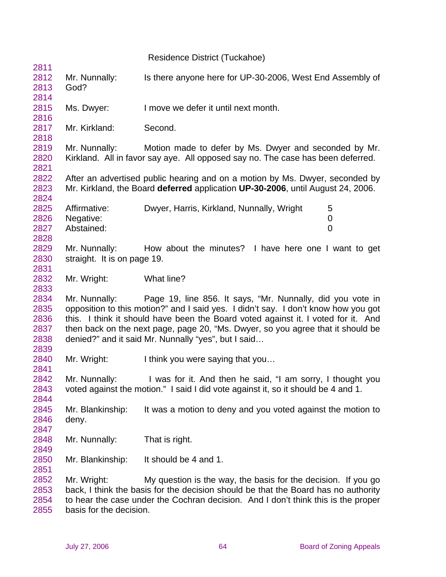Residence District (Tuckahoe) 2811 2812 2813 2814 2815 2816 2817 2818 2819 2820 2821 2822 2823 2824 2825 2826 2827 2828 2829 2830 2831 2832 2833 2834 2835 2836 2837 2838 2839 2840 2841 2842 2843 2844 2845 2846 2847 2848 2849 2850 2851 2852 2853 2854 2855 Mr. Nunnally: Is there anyone here for UP-30-2006, West End Assembly of God? Ms. Dwyer: I move we defer it until next month. Mr. Kirkland: Second. Mr. Nunnally: Motion made to defer by Ms. Dwyer and seconded by Mr. Kirkland. All in favor say aye. All opposed say no. The case has been deferred. After an advertised public hearing and on a motion by Ms. Dwyer, seconded by Mr. Kirkland, the Board **deferred** application **UP-30-2006**, until August 24, 2006. Affirmative: Dwyer, Harris, Kirkland, Nunnally, Wright 5 Negative: 0 Abstained: 0 Mr. Nunnally: How about the minutes? I have here one I want to get straight. It is on page 19. Mr. Wright: What line? Mr. Nunnally: Page 19, line 856. It says, "Mr. Nunnally, did you vote in opposition to this motion?" and I said yes. I didn't say. I don't know how you got this. I think it should have been the Board voted against it. I voted for it. And then back on the next page, page 20, "Ms. Dwyer, so you agree that it should be denied?" and it said Mr. Nunnally "yes", but I said… Mr. Wright: I think you were saying that you... Mr. Nunnally: I was for it. And then he said, "I am sorry, I thought you voted against the motion." I said I did vote against it, so it should be 4 and 1. Mr. Blankinship: It was a motion to deny and you voted against the motion to deny. Mr. Nunnally: That is right. Mr. Blankinship: It should be 4 and 1. Mr. Wright: My question is the way, the basis for the decision. If you go back, I think the basis for the decision should be that the Board has no authority to hear the case under the Cochran decision. And I don't think this is the proper basis for the decision.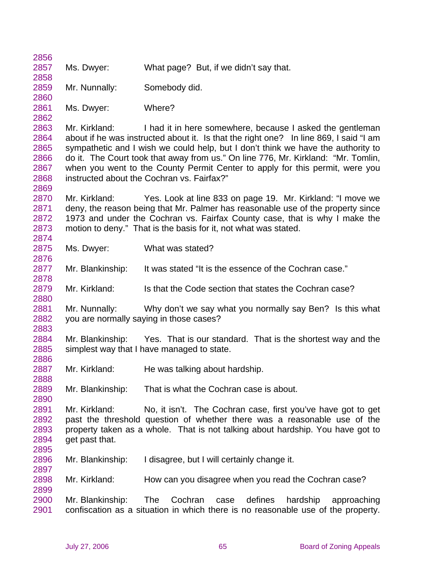| 2856         |                                                                              |                                                                                                                                                                           |  |  |  |
|--------------|------------------------------------------------------------------------------|---------------------------------------------------------------------------------------------------------------------------------------------------------------------------|--|--|--|
| 2857         | Ms. Dwyer:                                                                   | What page? But, if we didn't say that.                                                                                                                                    |  |  |  |
| 2858         |                                                                              |                                                                                                                                                                           |  |  |  |
| 2859         | Mr. Nunnally:                                                                | Somebody did.                                                                                                                                                             |  |  |  |
| 2860         |                                                                              |                                                                                                                                                                           |  |  |  |
| 2861         | Ms. Dwyer:                                                                   | Where?                                                                                                                                                                    |  |  |  |
| 2862         |                                                                              |                                                                                                                                                                           |  |  |  |
| 2863         | Mr. Kirkland:                                                                | I had it in here somewhere, because I asked the gentleman                                                                                                                 |  |  |  |
| 2864<br>2865 |                                                                              | about if he was instructed about it. Is that the right one? In line 869, I said "I am<br>sympathetic and I wish we could help, but I don't think we have the authority to |  |  |  |
| 2866         |                                                                              | do it. The Court took that away from us." On line 776, Mr. Kirkland: "Mr. Tomlin,                                                                                         |  |  |  |
| 2867         | when you went to the County Permit Center to apply for this permit, were you |                                                                                                                                                                           |  |  |  |
| 2868         |                                                                              | instructed about the Cochran vs. Fairfax?"                                                                                                                                |  |  |  |
| 2869         |                                                                              |                                                                                                                                                                           |  |  |  |
| 2870         | Mr. Kirkland:                                                                | Yes. Look at line 833 on page 19. Mr. Kirkland: "I move we                                                                                                                |  |  |  |
| 2871         |                                                                              | deny, the reason being that Mr. Palmer has reasonable use of the property since                                                                                           |  |  |  |
| 2872         |                                                                              | 1973 and under the Cochran vs. Fairfax County case, that is why I make the                                                                                                |  |  |  |
| 2873         | motion to deny." That is the basis for it, not what was stated.              |                                                                                                                                                                           |  |  |  |
| 2874         |                                                                              |                                                                                                                                                                           |  |  |  |
| 2875         | Ms. Dwyer:                                                                   | What was stated?                                                                                                                                                          |  |  |  |
| 2876         |                                                                              |                                                                                                                                                                           |  |  |  |
| 2877         | Mr. Blankinship:                                                             | It was stated "It is the essence of the Cochran case."                                                                                                                    |  |  |  |
| 2878         |                                                                              |                                                                                                                                                                           |  |  |  |
| 2879         | Mr. Kirkland:                                                                | Is that the Code section that states the Cochran case?                                                                                                                    |  |  |  |
| 2880         |                                                                              |                                                                                                                                                                           |  |  |  |
| 2881         | Mr. Nunnally:                                                                | Why don't we say what you normally say Ben? Is this what                                                                                                                  |  |  |  |
| 2882         |                                                                              | you are normally saying in those cases?                                                                                                                                   |  |  |  |
| 2883         |                                                                              |                                                                                                                                                                           |  |  |  |
| 2884         | Mr. Blankinship:                                                             | Yes. That is our standard. That is the shortest way and the                                                                                                               |  |  |  |
| 2885         |                                                                              | simplest way that I have managed to state.                                                                                                                                |  |  |  |
| 2886         |                                                                              |                                                                                                                                                                           |  |  |  |
| 2887         | Mr. Kirkland:                                                                | He was talking about hardship.                                                                                                                                            |  |  |  |
| 2888         |                                                                              |                                                                                                                                                                           |  |  |  |
| 2889         | Mr. Blankinship:                                                             | That is what the Cochran case is about.                                                                                                                                   |  |  |  |
| 2890         |                                                                              |                                                                                                                                                                           |  |  |  |
| 2891         | Mr. Kirkland:                                                                | No, it isn't. The Cochran case, first you've have got to get                                                                                                              |  |  |  |
| 2892         |                                                                              | past the threshold question of whether there was a reasonable use of the                                                                                                  |  |  |  |
| 2893         |                                                                              | property taken as a whole. That is not talking about hardship. You have got to                                                                                            |  |  |  |
| 2894         | get past that.                                                               |                                                                                                                                                                           |  |  |  |
| 2895         |                                                                              |                                                                                                                                                                           |  |  |  |
| 2896         | Mr. Blankinship:                                                             | I disagree, but I will certainly change it.                                                                                                                               |  |  |  |
| 2897<br>2898 | Mr. Kirkland:                                                                | How can you disagree when you read the Cochran case?                                                                                                                      |  |  |  |
| 2899         |                                                                              |                                                                                                                                                                           |  |  |  |
| 2900         | Mr. Blankinship:                                                             | Cochran<br>defines<br>The<br>hardship<br>approaching<br>case                                                                                                              |  |  |  |
| 2901         |                                                                              | confiscation as a situation in which there is no reasonable use of the property.                                                                                          |  |  |  |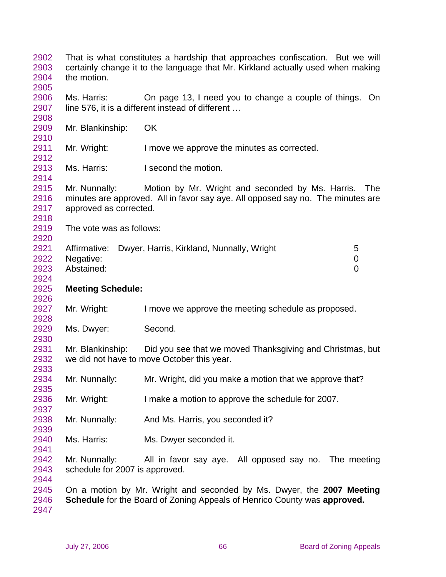That is what constitutes a hardship that approaches confiscation. But we will certainly change it to the language that Mr. Kirkland actually used when making the motion. Ms. Harris: On page 13, I need you to change a couple of things. On line 576, it is a different instead of different … Mr. Blankinship: OK Mr. Wright: I move we approve the minutes as corrected. Ms. Harris: **I** second the motion. Mr. Nunnally: Motion by Mr. Wright and seconded by Ms. Harris. The minutes are approved. All in favor say aye. All opposed say no. The minutes are approved as corrected. The vote was as follows: Affirmative: Dwyer, Harris, Kirkland, Nunnally, Wright 5 Negative: 0 Abstained: 0 **Meeting Schedule:**  Mr. Wright: I move we approve the meeting schedule as proposed. Ms. Dwyer: Second. Mr. Blankinship: Did you see that we moved Thanksgiving and Christmas, but we did not have to move October this year. Mr. Nunnally: Mr. Wright, did you make a motion that we approve that? Mr. Wright: I make a motion to approve the schedule for 2007. Mr. Nunnally: And Ms. Harris, you seconded it? Ms. Harris: Ms. Dwyer seconded it. Mr. Nunnally: All in favor say aye. All opposed say no. The meeting schedule for 2007 is approved. On a motion by Mr. Wright and seconded by Ms. Dwyer, the **2007 Meeting Schedule** for the Board of Zoning Appeals of Henrico County was **approved.**